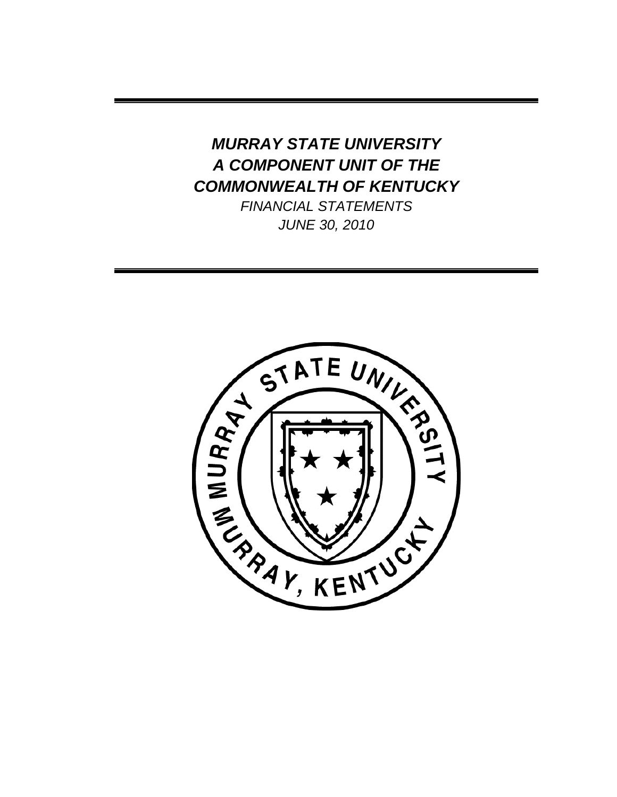# *MURRAY STATE UNIVERSITY A COMPONENT UNIT OF THE COMMONWEALTH OF KENTUCKY*

*FINANCIAL STATEMENTS JUNE 30, 2010*

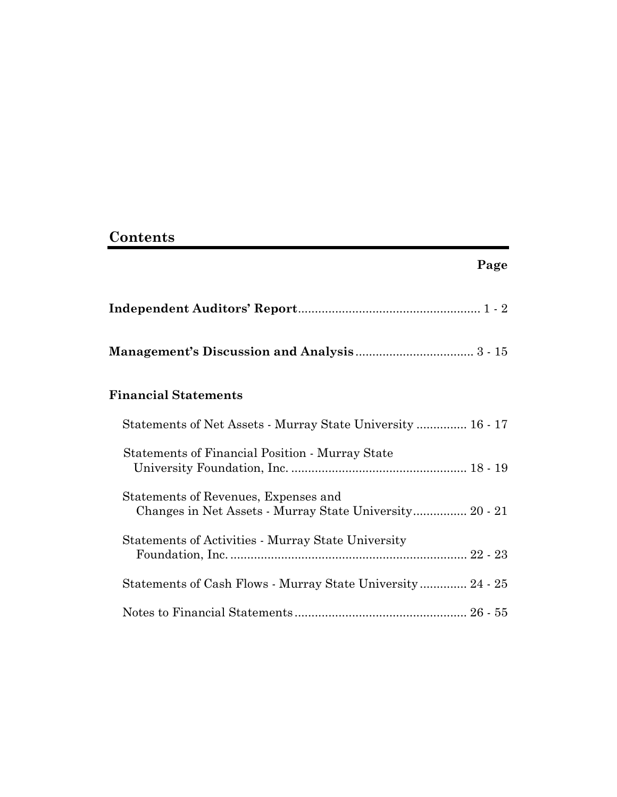# **Contents**

| <b>Financial Statements</b>                                                                     |  |
|-------------------------------------------------------------------------------------------------|--|
| Statements of Net Assets - Murray State University  16 - 17                                     |  |
| Statements of Financial Position - Murray State                                                 |  |
| Statements of Revenues, Expenses and<br>Changes in Net Assets - Murray State University 20 - 21 |  |
| <b>Statements of Activities - Murray State University</b>                                       |  |
| Statements of Cash Flows - Murray State University 24 - 25                                      |  |
|                                                                                                 |  |

 **Page**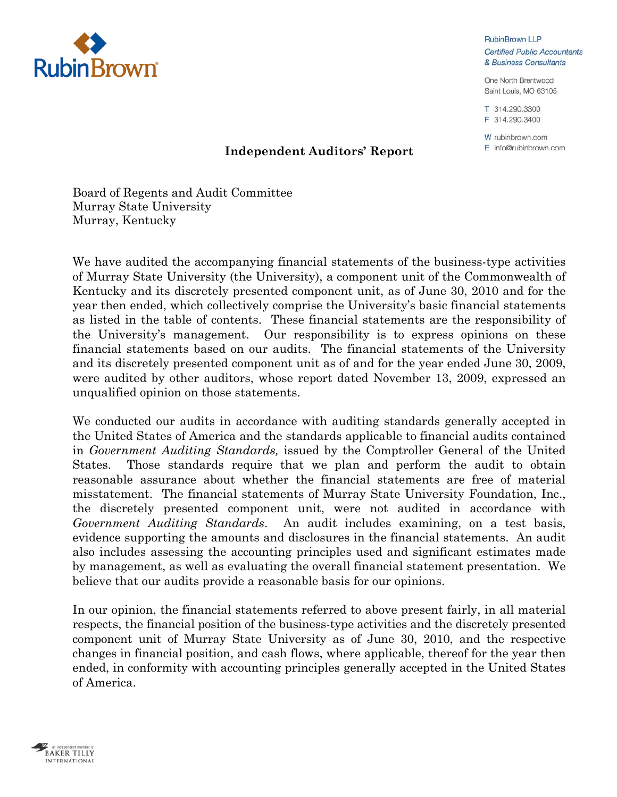

**RubinBrown LLP Certified Public Accountants** & Business Consultants

One North Brentwood Saint Louis, MO 63105

T 314.290.3300 F 314.290.3400

W rubinbrown.com  $E$  info@rubinbrown.com

## **Independent Auditors' Report**

Board of Regents and Audit Committee Murray State University Murray, Kentucky

We have audited the accompanying financial statements of the business-type activities of Murray State University (the University), a component unit of the Commonwealth of Kentucky and its discretely presented component unit, as of June 30, 2010 and for the year then ended, which collectively comprise the University's basic financial statements as listed in the table of contents. These financial statements are the responsibility of the University's management. Our responsibility is to express opinions on these financial statements based on our audits. The financial statements of the University and its discretely presented component unit as of and for the year ended June 30, 2009, were audited by other auditors, whose report dated November 13, 2009, expressed an unqualified opinion on those statements.

We conducted our audits in accordance with auditing standards generally accepted in the United States of America and the standards applicable to financial audits contained in *Government Auditing Standards,* issued by the Comptroller General of the United States. Those standards require that we plan and perform the audit to obtain reasonable assurance about whether the financial statements are free of material misstatement. The financial statements of Murray State University Foundation, Inc., the discretely presented component unit, were not audited in accordance with *Government Auditing Standards*. An audit includes examining, on a test basis, evidence supporting the amounts and disclosures in the financial statements. An audit also includes assessing the accounting principles used and significant estimates made by management, as well as evaluating the overall financial statement presentation. We believe that our audits provide a reasonable basis for our opinions.

In our opinion, the financial statements referred to above present fairly, in all material respects, the financial position of the business-type activities and the discretely presented component unit of Murray State University as of June 30, 2010, and the respective changes in financial position, and cash flows, where applicable, thereof for the year then ended, in conformity with accounting principles generally accepted in the United States of America.

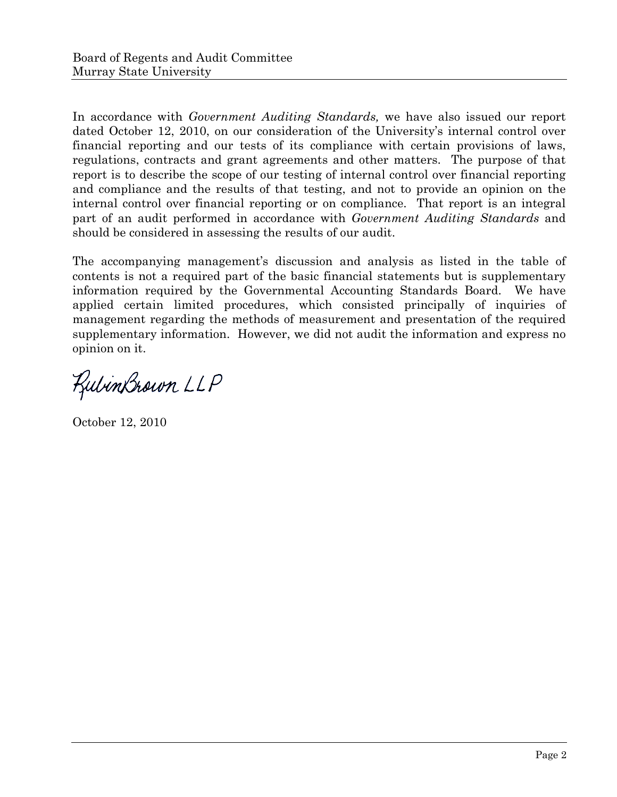In accordance with *Government Auditing Standards,* we have also issued our report dated October 12, 2010, on our consideration of the University's internal control over financial reporting and our tests of its compliance with certain provisions of laws, regulations, contracts and grant agreements and other matters. The purpose of that report is to describe the scope of our testing of internal control over financial reporting and compliance and the results of that testing, and not to provide an opinion on the internal control over financial reporting or on compliance. That report is an integral part of an audit performed in accordance with *Government Auditing Standards* and should be considered in assessing the results of our audit.

The accompanying management's discussion and analysis as listed in the table of contents is not a required part of the basic financial statements but is supplementary information required by the Governmental Accounting Standards Board. We have applied certain limited procedures, which consisted principally of inquiries of management regarding the methods of measurement and presentation of the required supplementary information. However, we did not audit the information and express no opinion on it.

RubinBrown LLP

October 12, 2010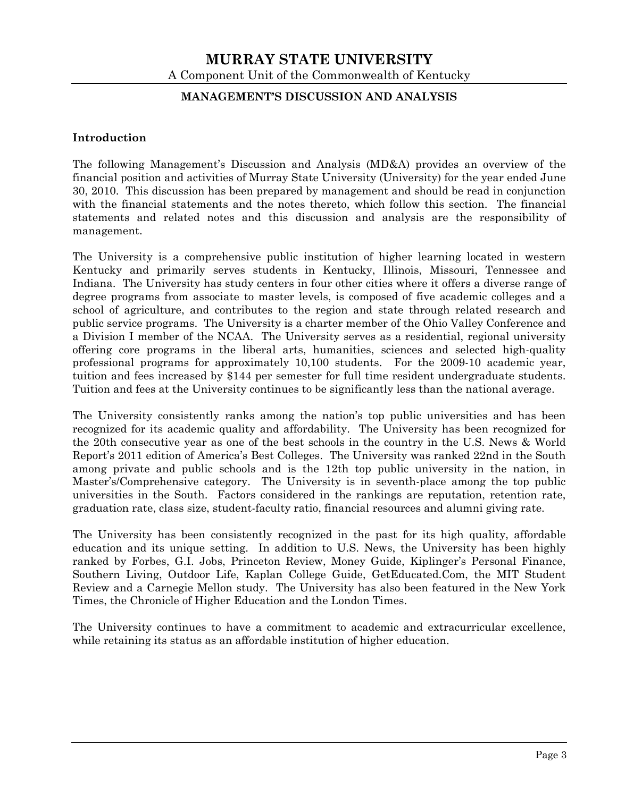#### **MANAGEMENT'S DISCUSSION AND ANALYSIS**

#### **Introduction**

The following Management's Discussion and Analysis (MD&A) provides an overview of the financial position and activities of Murray State University (University) for the year ended June 30, 2010. This discussion has been prepared by management and should be read in conjunction with the financial statements and the notes thereto, which follow this section. The financial statements and related notes and this discussion and analysis are the responsibility of management.

The University is a comprehensive public institution of higher learning located in western Kentucky and primarily serves students in Kentucky, Illinois, Missouri, Tennessee and Indiana. The University has study centers in four other cities where it offers a diverse range of degree programs from associate to master levels, is composed of five academic colleges and a school of agriculture, and contributes to the region and state through related research and public service programs. The University is a charter member of the Ohio Valley Conference and a Division I member of the NCAA. The University serves as a residential, regional university offering core programs in the liberal arts, humanities, sciences and selected high-quality professional programs for approximately 10,100 students. For the 2009-10 academic year, tuition and fees increased by \$144 per semester for full time resident undergraduate students. Tuition and fees at the University continues to be significantly less than the national average.

The University consistently ranks among the nation's top public universities and has been recognized for its academic quality and affordability. The University has been recognized for the 20th consecutive year as one of the best schools in the country in the U.S. News & World Report's 2011 edition of America's Best Colleges. The University was ranked 22nd in the South among private and public schools and is the 12th top public university in the nation, in Master's/Comprehensive category. The University is in seventh-place among the top public universities in the South. Factors considered in the rankings are reputation, retention rate, graduation rate, class size, student-faculty ratio, financial resources and alumni giving rate.

The University has been consistently recognized in the past for its high quality, affordable education and its unique setting. In addition to U.S. News, the University has been highly ranked by Forbes, G.I. Jobs, Princeton Review, Money Guide, Kiplinger's Personal Finance, Southern Living, Outdoor Life, Kaplan College Guide, GetEducated.Com, the MIT Student Review and a Carnegie Mellon study. The University has also been featured in the New York Times, the Chronicle of Higher Education and the London Times.

The University continues to have a commitment to academic and extracurricular excellence, while retaining its status as an affordable institution of higher education.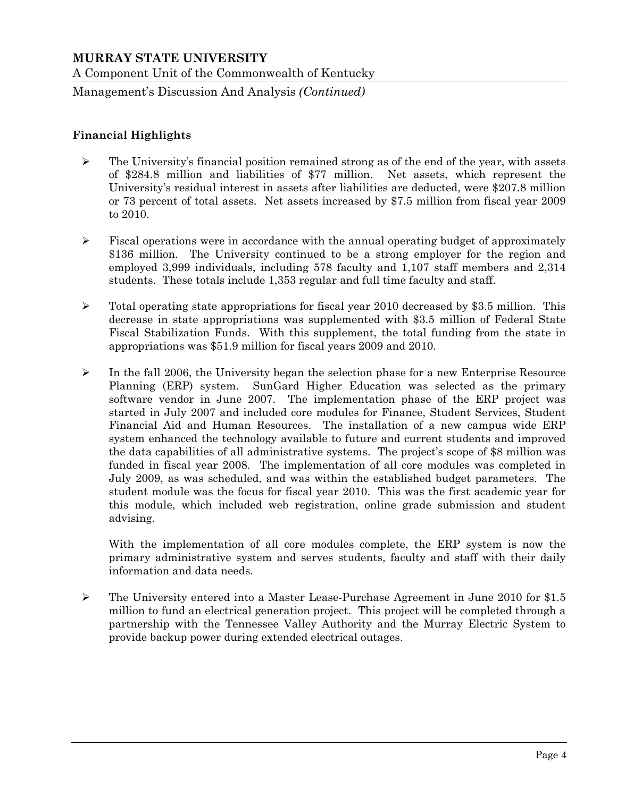Management's Discussion And Analysis *(Continued)*

### **Financial Highlights**

- $\triangleright$  The University's financial position remained strong as of the end of the year, with assets of \$284.8 million and liabilities of \$77 million. Net assets, which represent the University's residual interest in assets after liabilities are deducted, were \$207.8 million or 73 percent of total assets. Net assets increased by \$7.5 million from fiscal year 2009 to 2010.
- $\triangleright$  Fiscal operations were in accordance with the annual operating budget of approximately \$136 million. The University continued to be a strong employer for the region and employed 3,999 individuals, including 578 faculty and 1,107 staff members and 2,314 students. These totals include 1,353 regular and full time faculty and staff.
- $\triangleright$  Total operating state appropriations for fiscal year 2010 decreased by \$3.5 million. This decrease in state appropriations was supplemented with \$3.5 million of Federal State Fiscal Stabilization Funds. With this supplement, the total funding from the state in appropriations was \$51.9 million for fiscal years 2009 and 2010.
- $\triangleright$  In the fall 2006, the University began the selection phase for a new Enterprise Resource Planning (ERP) system. SunGard Higher Education was selected as the primary software vendor in June 2007. The implementation phase of the ERP project was started in July 2007 and included core modules for Finance, Student Services, Student Financial Aid and Human Resources. The installation of a new campus wide ERP system enhanced the technology available to future and current students and improved the data capabilities of all administrative systems. The project's scope of \$8 million was funded in fiscal year 2008. The implementation of all core modules was completed in July 2009, as was scheduled, and was within the established budget parameters. The student module was the focus for fiscal year 2010. This was the first academic year for this module, which included web registration, online grade submission and student advising.

With the implementation of all core modules complete, the ERP system is now the primary administrative system and serves students, faculty and staff with their daily information and data needs.

 The University entered into a Master Lease-Purchase Agreement in June 2010 for \$1.5 million to fund an electrical generation project. This project will be completed through a partnership with the Tennessee Valley Authority and the Murray Electric System to provide backup power during extended electrical outages.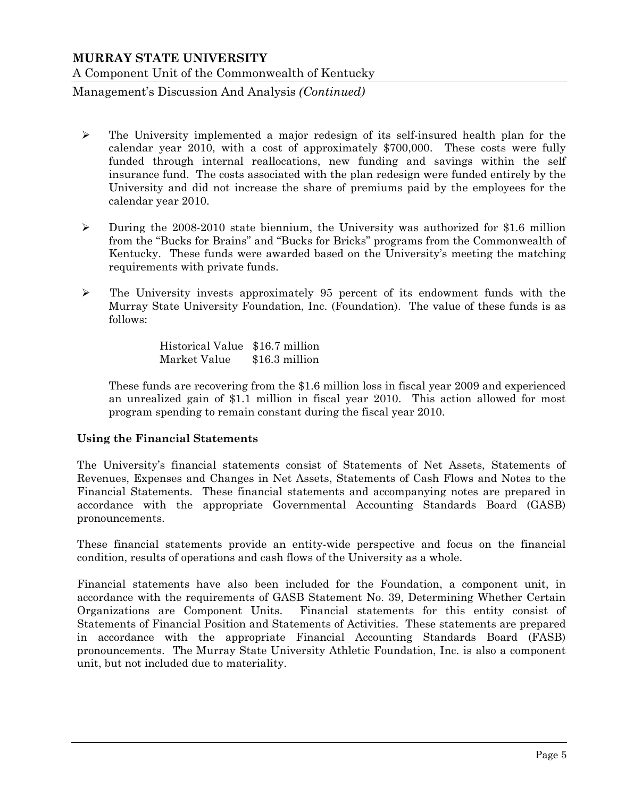Management's Discussion And Analysis *(Continued)*

- $\triangleright$  The University implemented a major redesign of its self-insured health plan for the calendar year 2010, with a cost of approximately \$700,000. These costs were fully funded through internal reallocations, new funding and savings within the self insurance fund. The costs associated with the plan redesign were funded entirely by the University and did not increase the share of premiums paid by the employees for the calendar year 2010.
- During the 2008-2010 state biennium, the University was authorized for \$1.6 million from the "Bucks for Brains" and "Bucks for Bricks" programs from the Commonwealth of Kentucky. These funds were awarded based on the University's meeting the matching requirements with private funds.
- $\triangleright$  The University invests approximately 95 percent of its endowment funds with the Murray State University Foundation, Inc. (Foundation). The value of these funds is as follows:

 Historical Value \$16.7 million Market Value \$16.3 million

These funds are recovering from the \$1.6 million loss in fiscal year 2009 and experienced an unrealized gain of \$1.1 million in fiscal year 2010. This action allowed for most program spending to remain constant during the fiscal year 2010.

#### **Using the Financial Statements**

The University's financial statements consist of Statements of Net Assets, Statements of Revenues, Expenses and Changes in Net Assets, Statements of Cash Flows and Notes to the Financial Statements. These financial statements and accompanying notes are prepared in accordance with the appropriate Governmental Accounting Standards Board (GASB) pronouncements.

These financial statements provide an entity-wide perspective and focus on the financial condition, results of operations and cash flows of the University as a whole.

Financial statements have also been included for the Foundation, a component unit, in accordance with the requirements of GASB Statement No. 39, Determining Whether Certain Organizations are Component Units. Financial statements for this entity consist of Statements of Financial Position and Statements of Activities. These statements are prepared in accordance with the appropriate Financial Accounting Standards Board (FASB) pronouncements. The Murray State University Athletic Foundation, Inc. is also a component unit, but not included due to materiality.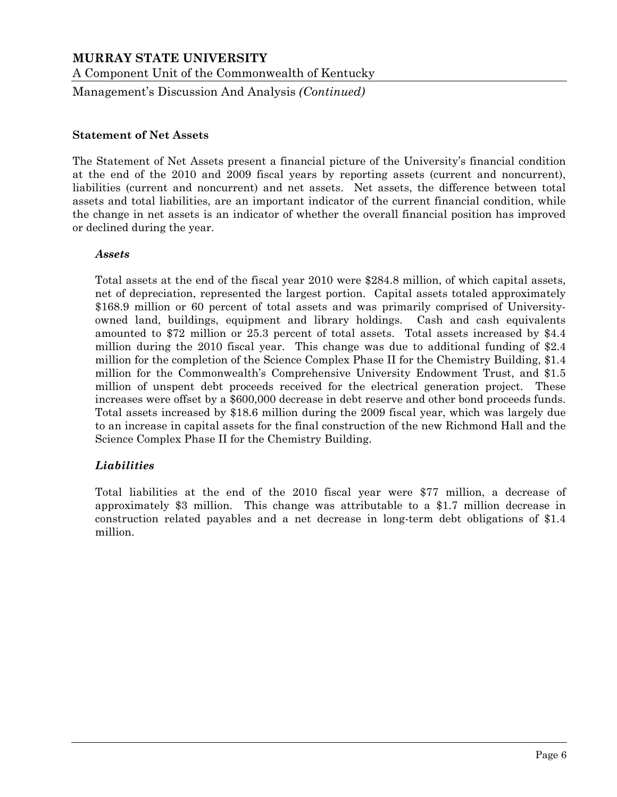Management's Discussion And Analysis *(Continued)*

#### **Statement of Net Assets**

The Statement of Net Assets present a financial picture of the University's financial condition at the end of the 2010 and 2009 fiscal years by reporting assets (current and noncurrent), liabilities (current and noncurrent) and net assets. Net assets, the difference between total assets and total liabilities, are an important indicator of the current financial condition, while the change in net assets is an indicator of whether the overall financial position has improved or declined during the year.

#### *Assets*

Total assets at the end of the fiscal year 2010 were \$284.8 million, of which capital assets, net of depreciation, represented the largest portion. Capital assets totaled approximately \$168.9 million or 60 percent of total assets and was primarily comprised of Universityowned land, buildings, equipment and library holdings. Cash and cash equivalents amounted to \$72 million or 25.3 percent of total assets. Total assets increased by \$4.4 million during the 2010 fiscal year. This change was due to additional funding of \$2.4 million for the completion of the Science Complex Phase II for the Chemistry Building, \$1.4 million for the Commonwealth's Comprehensive University Endowment Trust, and \$1.5 million of unspent debt proceeds received for the electrical generation project. These increases were offset by a \$600,000 decrease in debt reserve and other bond proceeds funds. Total assets increased by \$18.6 million during the 2009 fiscal year, which was largely due to an increase in capital assets for the final construction of the new Richmond Hall and the Science Complex Phase II for the Chemistry Building.

#### *Liabilities*

Total liabilities at the end of the 2010 fiscal year were \$77 million, a decrease of approximately \$3 million. This change was attributable to a \$1.7 million decrease in construction related payables and a net decrease in long-term debt obligations of \$1.4 million.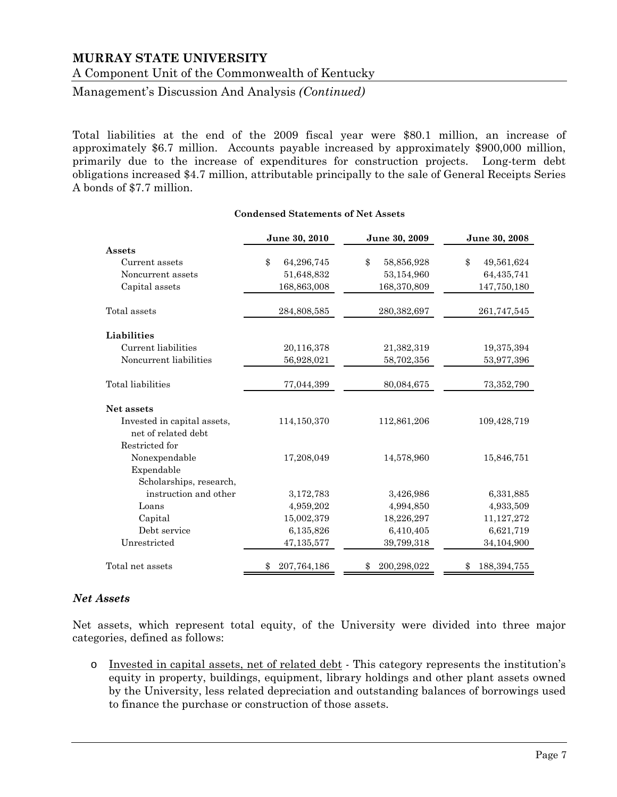A Component Unit of the Commonwealth of Kentucky

Management's Discussion And Analysis *(Continued)*

Total liabilities at the end of the 2009 fiscal year were \$80.1 million, an increase of approximately \$6.7 million. Accounts payable increased by approximately \$900,000 million, primarily due to the increase of expenditures for construction projects. Long-term debt obligations increased \$4.7 million, attributable principally to the sale of General Receipts Series A bonds of \$7.7 million.

|                             | June 30, 2010     | June 30, 2009    | June 30, 2008       |
|-----------------------------|-------------------|------------------|---------------------|
| Assets                      |                   |                  |                     |
| Current assets              | \$<br>64,296,745  | \$<br>58,856,928 | \$<br>49,561,624    |
| Noncurrent assets           | 51,648,832        | 53,154,960       | 64,435,741          |
| Capital assets              | 168,863,008       | 168,370,809      | 147,750,180         |
| Total assets                | 284,808,585       | 280,382,697      | 261,747,545         |
| Liabilities                 |                   |                  |                     |
| Current liabilities         | 20,116,378        | 21,382,319       | 19,375,394          |
| Noncurrent liabilities      | 56,928,021        | 58,702,356       | 53,977,396          |
| Total liabilities           | 77,044,399        | 80,084,675       | 73, 352, 790        |
| Net assets                  |                   |                  |                     |
| Invested in capital assets. | 114,150,370       | 112,861,206      | 109,428,719         |
| net of related debt         |                   |                  |                     |
| Restricted for              |                   |                  |                     |
| Nonexpendable               | 17,208,049        | 14,578,960       | 15,846,751          |
| Expendable                  |                   |                  |                     |
| Scholarships, research,     |                   |                  |                     |
| instruction and other       | 3,172,783         | 3,426,986        | 6,331,885           |
| Loans                       | 4,959,202         | 4,994,850        | 4,933,509           |
| Capital                     | 15,002,379        | 18,226,297       | 11,127,272          |
| Debt service                | 6,135,826         | 6,410,405        | 6,621,719           |
| Unrestricted                | 47,135,577        | 39,799,318       | 34,104,900          |
| Total net assets            | \$<br>207,764,186 | 200,298,022      | 188, 394, 755<br>\$ |

#### **Condensed Statements of Net Assets**

#### *Net Assets*

Net assets, which represent total equity, of the University were divided into three major categories, defined as follows:

o Invested in capital assets, net of related debt - This category represents the institution's equity in property, buildings, equipment, library holdings and other plant assets owned by the University, less related depreciation and outstanding balances of borrowings used to finance the purchase or construction of those assets.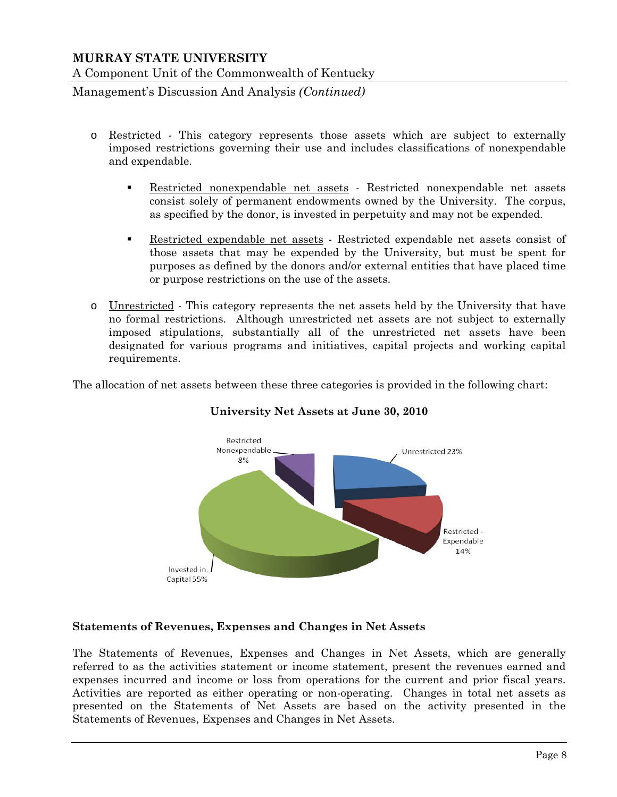Management's Discussion And Analysis *(Continued)*

- o Restricted This category represents those assets which are subject to externally imposed restrictions governing their use and includes classifications of nonexpendable and expendable.
	- Restricted nonexpendable net assets Restricted nonexpendable net assets consist solely of permanent endowments owned by the University. The corpus, as specified by the donor, is invested in perpetuity and may not be expended.
	- **Restricted expendable net assets** Restricted expendable net assets consist of those assets that may be expended by the University, but must be spent for purposes as defined by the donors and/or external entities that have placed time or purpose restrictions on the use of the assets.
- o Unrestricted This category represents the net assets held by the University that have no formal restrictions. Although unrestricted net assets are not subject to externally imposed stipulations, substantially all of the unrestricted net assets have been designated for various programs and initiatives, capital projects and working capital requirements.

The allocation of net assets between these three categories is provided in the following chart:



# **University Net Assets at June 30, 2010**

#### **Statements of Revenues, Expenses and Changes in Net Assets**

The Statements of Revenues, Expenses and Changes in Net Assets, which are generally referred to as the activities statement or income statement, present the revenues earned and expenses incurred and income or loss from operations for the current and prior fiscal years. Activities are reported as either operating or non-operating. Changes in total net assets as presented on the Statements of Net Assets are based on the activity presented in the Statements of Revenues, Expenses and Changes in Net Assets.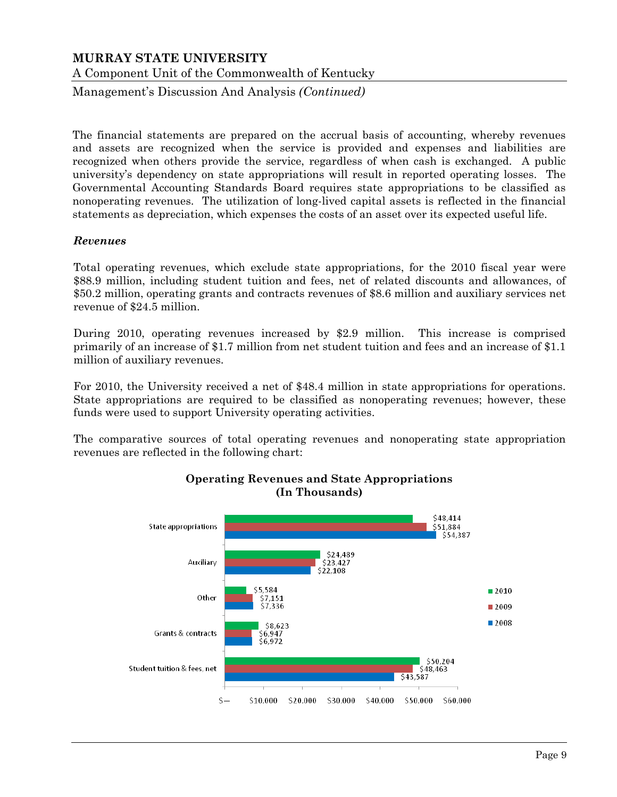Management's Discussion And Analysis *(Continued)*

The financial statements are prepared on the accrual basis of accounting, whereby revenues and assets are recognized when the service is provided and expenses and liabilities are recognized when others provide the service, regardless of when cash is exchanged. A public university's dependency on state appropriations will result in reported operating losses. The Governmental Accounting Standards Board requires state appropriations to be classified as nonoperating revenues. The utilization of long-lived capital assets is reflected in the financial statements as depreciation, which expenses the costs of an asset over its expected useful life.

#### *Revenues*

Total operating revenues, which exclude state appropriations, for the 2010 fiscal year were \$88.9 million, including student tuition and fees, net of related discounts and allowances, of \$50.2 million, operating grants and contracts revenues of \$8.6 million and auxiliary services net revenue of \$24.5 million.

During 2010, operating revenues increased by \$2.9 million. This increase is comprised primarily of an increase of \$1.7 million from net student tuition and fees and an increase of \$1.1 million of auxiliary revenues.

For 2010, the University received a net of \$48.4 million in state appropriations for operations. State appropriations are required to be classified as nonoperating revenues; however, these funds were used to support University operating activities.

The comparative sources of total operating revenues and nonoperating state appropriation revenues are reflected in the following chart:



#### **Operating Revenues and State Appropriations (In Thousands)**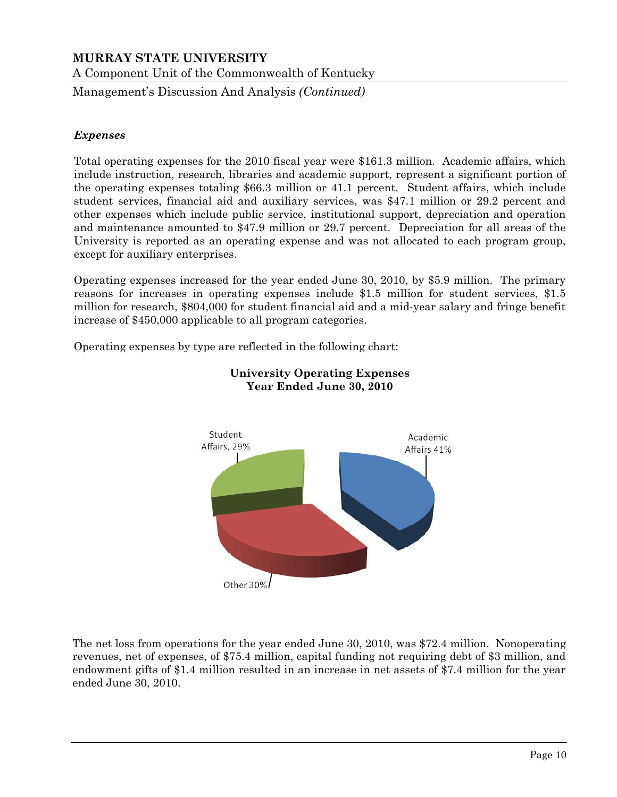A Component Unit of the Commonwealth of Kentucky

Management's Discussion And Analysis *(Continued)*

#### *Expenses*

Total operating expenses for the 2010 fiscal year were \$161.3 million. Academic affairs, which include instruction, research, libraries and academic support, represent a significant portion of the operating expenses totaling \$66.3 million or 41.1 percent. Student affairs, which include student services, financial aid and auxiliary services, was \$47.1 million or 29.2 percent and other expenses which include public service, institutional support, depreciation and operation and maintenance amounted to \$47.9 million or 29.7 percent. Depreciation for all areas of the University is reported as an operating expense and was not allocated to each program group, except for auxiliary enterprises.

Operating expenses increased for the year ended June 30, 2010, by \$5.9 million. The primary reasons for increases in operating expenses include \$1.5 million for student services, \$1.5 million for research, \$804,000 for student financial aid and a mid-year salary and fringe benefit increase of \$450,000 applicable to all program categories.

Operating expenses by type are reflected in the following chart:



#### **University Operating Expenses Year Ended June 30, 2010**

The net loss from operations for the year ended June 30, 2010, was \$72.4 million. Nonoperating revenues, net of expenses, of \$75.4 million, capital funding not requiring debt of \$3 million, and endowment gifts of \$1.4 million resulted in an increase in net assets of \$7.4 million for the year ended June 30, 2010.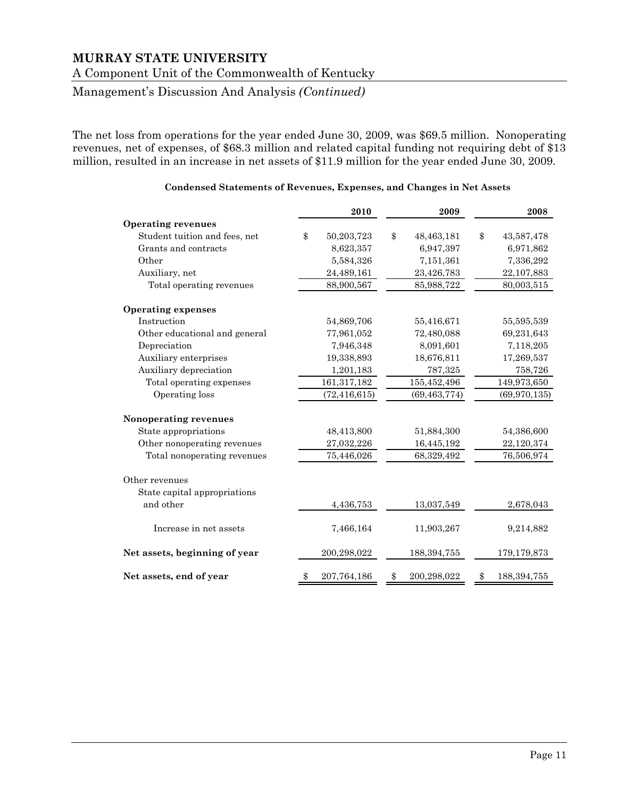A Component Unit of the Commonwealth of Kentucky

Management's Discussion And Analysis *(Continued)*

The net loss from operations for the year ended June 30, 2009, was \$69.5 million. Nonoperating revenues, net of expenses, of \$68.3 million and related capital funding not requiring debt of \$13 million, resulted in an increase in net assets of \$11.9 million for the year ended June 30, 2009.

|                               | 2010              | 2009 |                | 2008                |
|-------------------------------|-------------------|------|----------------|---------------------|
| <b>Operating revenues</b>     |                   |      |                |                     |
| Student tuition and fees, net | \$<br>50,203,723  | \$   | 48,463,181     | \$<br>43,587,478    |
| Grants and contracts          | 8,623,357         |      | 6,947,397      | 6,971,862           |
| Other                         | 5,584,326         |      | 7,151,361      | 7,336,292           |
| Auxiliary, net                | 24,489,161        |      | 23,426,783     | 22,107,883          |
| Total operating revenues      | 88,900,567        |      | 85,988,722     | 80,003,515          |
| <b>Operating expenses</b>     |                   |      |                |                     |
| Instruction                   | 54,869,706        |      | 55,416,671     | 55,595,539          |
| Other educational and general | 77,961,052        |      | 72,480,088     | 69,231,643          |
| Depreciation                  | 7,946,348         |      | 8,091,601      | 7,118,205           |
| Auxiliary enterprises         | 19,338,893        |      | 18,676,811     | 17,269,537          |
| Auxiliary depreciation        | 1,201,183         |      | 787,325        | 758,726             |
| Total operating expenses      | 161,317,182       |      | 155,452,496    | 149,973,650         |
| Operating loss                | (72, 416, 615)    |      | (69, 463, 774) | (69, 970, 135)      |
| Nonoperating revenues         |                   |      |                |                     |
| State appropriations          | 48,413,800        |      | 51,884,300     | 54,386,600          |
| Other nonoperating revenues   | 27,032,226        |      | 16,445,192     | 22,120,374          |
| Total nonoperating revenues   | 75,446,026        |      | 68,329,492     | 76,506,974          |
| Other revenues                |                   |      |                |                     |
| State capital appropriations  |                   |      |                |                     |
| and other                     | 4,436,753         |      | 13,037,549     | 2,678,043           |
| Increase in net assets        | 7,466,164         |      | 11,903,267     | 9,214,882           |
| Net assets, beginning of year | 200,298,022       |      | 188, 394, 755  | 179,179,873         |
| Net assets, end of year       | \$<br>207,764,186 | \$   | 200,298,022    | \$<br>188, 394, 755 |

#### **Condensed Statements of Revenues, Expenses, and Changes in Net Assets**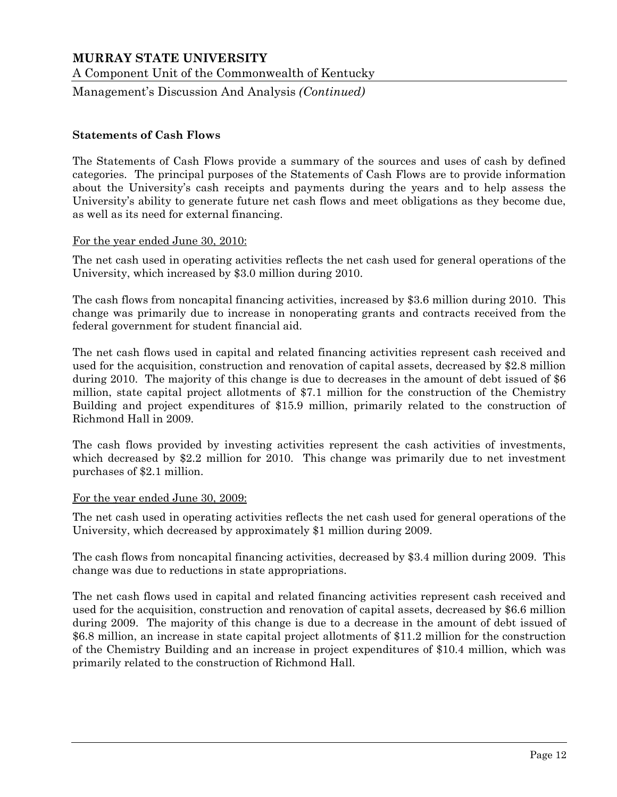A Component Unit of the Commonwealth of Kentucky

Management's Discussion And Analysis *(Continued)*

#### **Statements of Cash Flows**

The Statements of Cash Flows provide a summary of the sources and uses of cash by defined categories. The principal purposes of the Statements of Cash Flows are to provide information about the University's cash receipts and payments during the years and to help assess the University's ability to generate future net cash flows and meet obligations as they become due, as well as its need for external financing.

#### For the year ended June 30, 2010:

The net cash used in operating activities reflects the net cash used for general operations of the University, which increased by \$3.0 million during 2010.

The cash flows from noncapital financing activities, increased by \$3.6 million during 2010. This change was primarily due to increase in nonoperating grants and contracts received from the federal government for student financial aid.

The net cash flows used in capital and related financing activities represent cash received and used for the acquisition, construction and renovation of capital assets, decreased by \$2.8 million during 2010. The majority of this change is due to decreases in the amount of debt issued of \$6 million, state capital project allotments of \$7.1 million for the construction of the Chemistry Building and project expenditures of \$15.9 million, primarily related to the construction of Richmond Hall in 2009.

The cash flows provided by investing activities represent the cash activities of investments, which decreased by \$2.2 million for 2010. This change was primarily due to net investment purchases of \$2.1 million.

#### For the year ended June 30, 2009:

The net cash used in operating activities reflects the net cash used for general operations of the University, which decreased by approximately \$1 million during 2009.

The cash flows from noncapital financing activities, decreased by \$3.4 million during 2009. This change was due to reductions in state appropriations.

The net cash flows used in capital and related financing activities represent cash received and used for the acquisition, construction and renovation of capital assets, decreased by \$6.6 million during 2009. The majority of this change is due to a decrease in the amount of debt issued of \$6.8 million, an increase in state capital project allotments of \$11.2 million for the construction of the Chemistry Building and an increase in project expenditures of \$10.4 million, which was primarily related to the construction of Richmond Hall.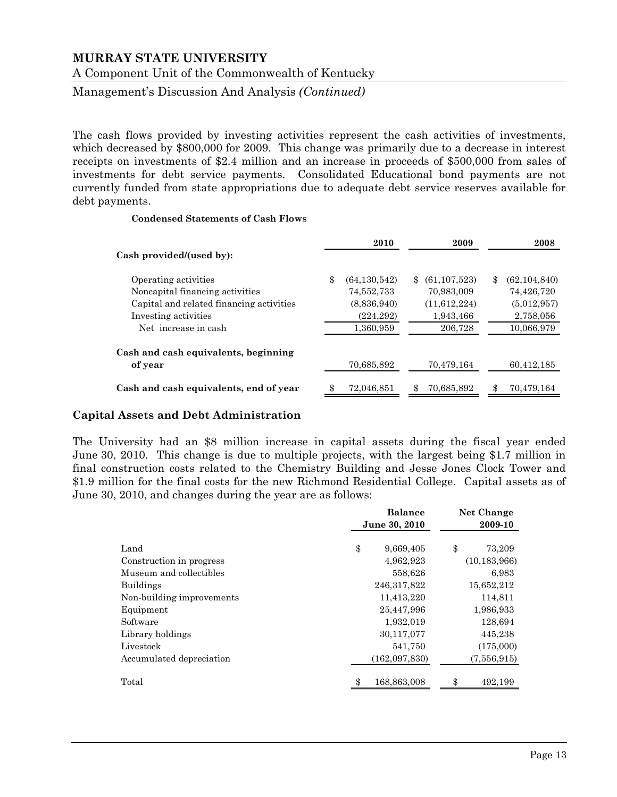A Component Unit of the Commonwealth of Kentucky

Management's Discussion And Analysis *(Continued)*

The cash flows provided by investing activities represent the cash activities of investments, which decreased by \$800,000 for 2009. This change was primarily due to a decrease in interest receipts on investments of \$2.4 million and an increase in proceeds of \$500,000 from sales of investments for debt service payments. Consolidated Educational bond payments are not currently funded from state appropriations due to adequate debt service reserves available for debt payments.

#### **Condensed Statements of Cash Flows**

|                                          | 2010                 | 2009                 | 2008                 |
|------------------------------------------|----------------------|----------------------|----------------------|
| Cash provided/(used by):                 |                      |                      |                      |
| Operating activities                     | \$<br>(64, 130, 542) | \$<br>(61, 107, 523) | \$<br>(62, 104, 840) |
| Noncapital financing activities          | 74,552,733           | 70,983,009           | 74,426,720           |
| Capital and related financing activities | (8,836,940)          | (11,612,224)         | (5,012,957)          |
| Investing activities                     | (224, 292)           | 1,943,466            | 2,758,056            |
| Net increase in cash                     | 1,360,959            | 206,728              | 10,066,979           |
| Cash and cash equivalents, beginning     |                      |                      |                      |
| of year                                  | 70,685,892           | 70,479,164           | 60,412,185           |
| Cash and cash equivalents, end of year   | 72,046,851           | \$<br>70,685,892     | 70,479,164           |

#### **Capital Assets and Debt Administration**

The University had an \$8 million increase in capital assets during the fiscal year ended June 30, 2010. This change is due to multiple projects, with the largest being \$1.7 million in final construction costs related to the Chemistry Building and Jesse Jones Clock Tower and \$1.9 million for the final costs for the new Richmond Residential College. Capital assets as of June 30, 2010, and changes during the year are as follows:

|                           | <b>Balance</b>    | Net Change     |
|---------------------------|-------------------|----------------|
|                           | June 30, 2010     | 2009-10        |
|                           |                   |                |
| Land                      | \$<br>9,669,405   | \$<br>73,209   |
| Construction in progress  | 4,962,923         | (10, 183, 966) |
| Museum and collectibles   | 558,626           | 6,983          |
| <b>Buildings</b>          | 246, 317, 822     | 15,652,212     |
| Non-building improvements | 11,413,220        | 114,811        |
| Equipment                 | 25,447,996        | 1,986,933      |
| Software                  | 1,932,019         | 128,694        |
| Library holdings          | 30,117,077        | 445,238        |
| Livestock                 | 541,750           | (175,000)      |
| Accumulated depreciation  | (162,097,830)     | (7,556,915)    |
| Total                     | 168,863,008<br>\$ | 492,199        |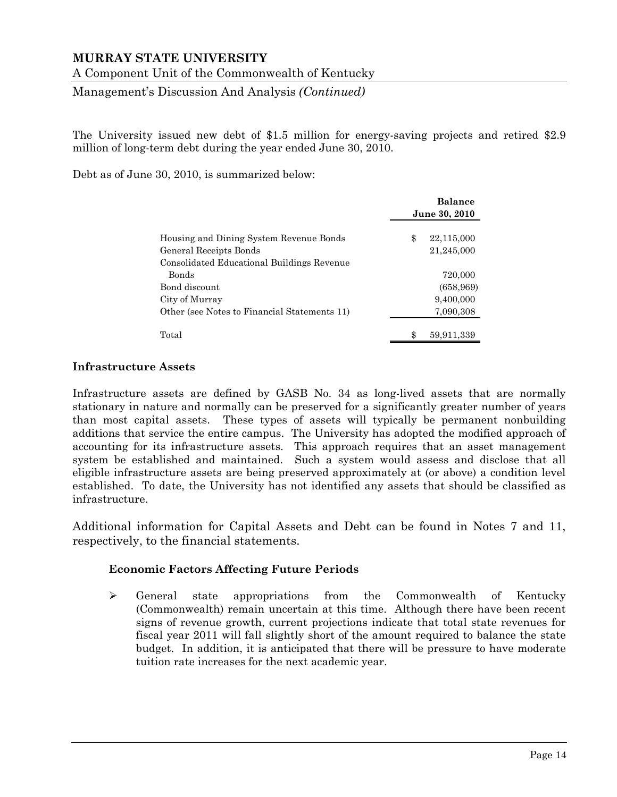A Component Unit of the Commonwealth of Kentucky

Management's Discussion And Analysis *(Continued)*

The University issued new debt of \$1.5 million for energy-saving projects and retired \$2.9 million of long-term debt during the year ended June 30, 2010.

Debt as of June 30, 2010, is summarized below:

|                                              | <b>Balance</b> |            |  |  |
|----------------------------------------------|----------------|------------|--|--|
|                                              | June 30, 2010  |            |  |  |
| Housing and Dining System Revenue Bonds      | \$             | 22,115,000 |  |  |
| General Receipts Bonds                       |                | 21,245,000 |  |  |
| Consolidated Educational Buildings Revenue   |                |            |  |  |
| <b>Bonds</b>                                 |                | 720,000    |  |  |
| Bond discount                                |                | (658, 969) |  |  |
| City of Murray                               |                | 9,400,000  |  |  |
| Other (see Notes to Financial Statements 11) |                | 7,090,308  |  |  |
|                                              |                |            |  |  |
| Total                                        | \$             | 59,911,339 |  |  |

#### **Infrastructure Assets**

Infrastructure assets are defined by GASB No. 34 as long-lived assets that are normally stationary in nature and normally can be preserved for a significantly greater number of years than most capital assets. These types of assets will typically be permanent nonbuilding additions that service the entire campus. The University has adopted the modified approach of accounting for its infrastructure assets. This approach requires that an asset management system be established and maintained. Such a system would assess and disclose that all eligible infrastructure assets are being preserved approximately at (or above) a condition level established. To date, the University has not identified any assets that should be classified as infrastructure.

Additional information for Capital Assets and Debt can be found in Notes 7 and 11, respectively, to the financial statements.

#### **Economic Factors Affecting Future Periods**

 $\triangleright$  General state appropriations from the Commonwealth of Kentucky (Commonwealth) remain uncertain at this time. Although there have been recent signs of revenue growth, current projections indicate that total state revenues for fiscal year 2011 will fall slightly short of the amount required to balance the state budget. In addition, it is anticipated that there will be pressure to have moderate tuition rate increases for the next academic year.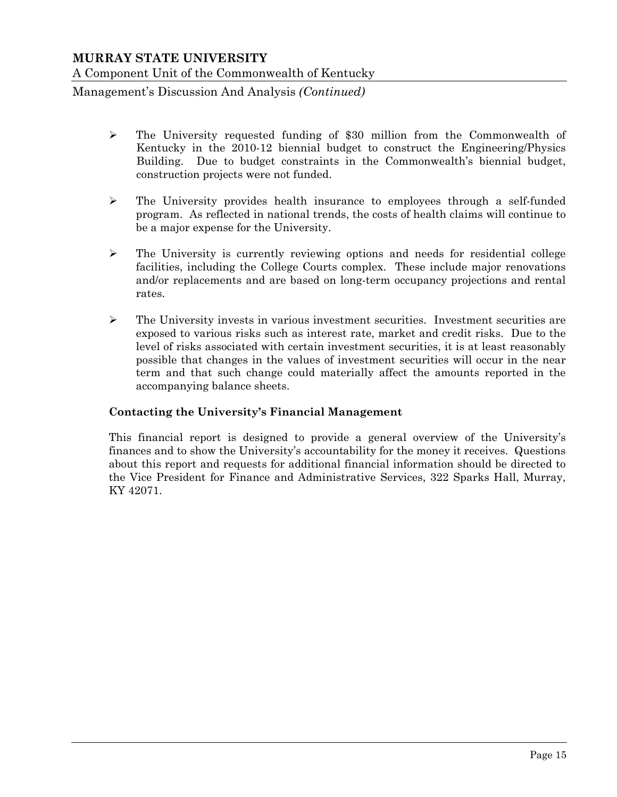Management's Discussion And Analysis *(Continued)*

- $\triangleright$  The University requested funding of \$30 million from the Commonwealth of Kentucky in the 2010-12 biennial budget to construct the Engineering/Physics Building. Due to budget constraints in the Commonwealth's biennial budget, construction projects were not funded.
- $\triangleright$  The University provides health insurance to employees through a self-funded program. As reflected in national trends, the costs of health claims will continue to be a major expense for the University.
- $\triangleright$  The University is currently reviewing options and needs for residential college facilities, including the College Courts complex. These include major renovations and/or replacements and are based on long-term occupancy projections and rental rates.
- $\triangleright$  The University invests in various investment securities. Investment securities are exposed to various risks such as interest rate, market and credit risks. Due to the level of risks associated with certain investment securities, it is at least reasonably possible that changes in the values of investment securities will occur in the near term and that such change could materially affect the amounts reported in the accompanying balance sheets.

#### **Contacting the University's Financial Management**

This financial report is designed to provide a general overview of the University's finances and to show the University's accountability for the money it receives. Questions about this report and requests for additional financial information should be directed to the Vice President for Finance and Administrative Services, 322 Sparks Hall, Murray, KY 42071.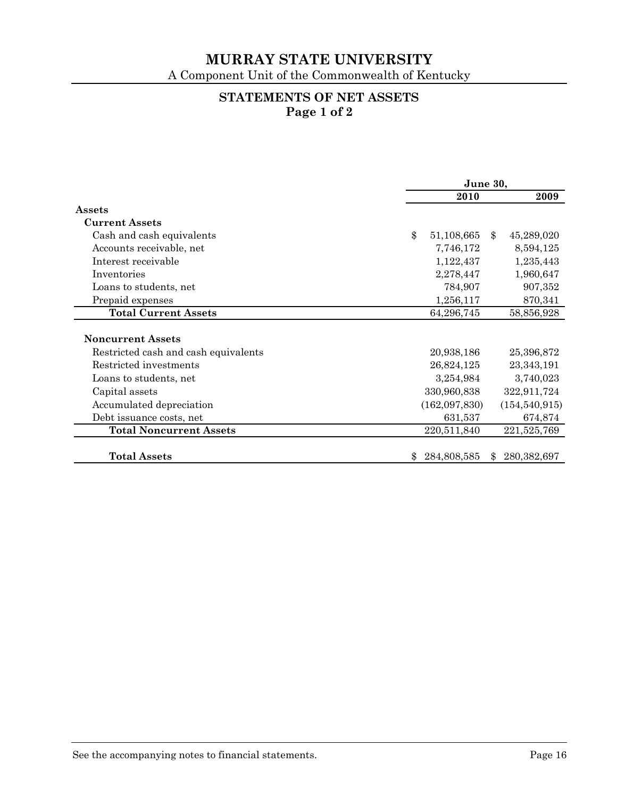A Component Unit of the Commonwealth of Kentucky

# **STATEMENTS OF NET ASSETS Page 1 of 2**

|                                      | June 30, |               |    |                 |
|--------------------------------------|----------|---------------|----|-----------------|
|                                      |          | 2010          |    | 2009            |
| Assets                               |          |               |    |                 |
| <b>Current Assets</b>                |          |               |    |                 |
| Cash and cash equivalents            | \$       | 51,108,665    | \$ | 45,289,020      |
| Accounts receivable, net             |          | 7,746,172     |    | 8,594,125       |
| Interest receivable                  |          | 1,122,437     |    | 1,235,443       |
| Inventories                          |          | 2,278,447     |    | 1,960,647       |
| Loans to students, net               |          | 784,907       |    | 907,352         |
| Prepaid expenses                     |          | 1,256,117     |    | 870,341         |
| <b>Total Current Assets</b>          |          | 64,296,745    |    | 58,856,928      |
|                                      |          |               |    |                 |
| <b>Noncurrent Assets</b>             |          |               |    |                 |
| Restricted cash and cash equivalents |          | 20,938,186    |    | 25,396,872      |
| Restricted investments               |          | 26,824,125    |    | 23,343,191      |
| Loans to students, net               |          | 3,254,984     |    | 3,740,023       |
| Capital assets                       |          | 330,960,838   |    | 322,911,724     |
| Accumulated depreciation             |          | (162,097,830) |    | (154, 540, 915) |
| Debt issuance costs, net             |          | 631,537       |    | 674,874         |
| <b>Total Noncurrent Assets</b>       |          | 220,511,840   |    | 221,525,769     |
|                                      |          |               |    |                 |
| <b>Total Assets</b>                  | \$.      | 284,808,585   | \$ | 280, 382, 697   |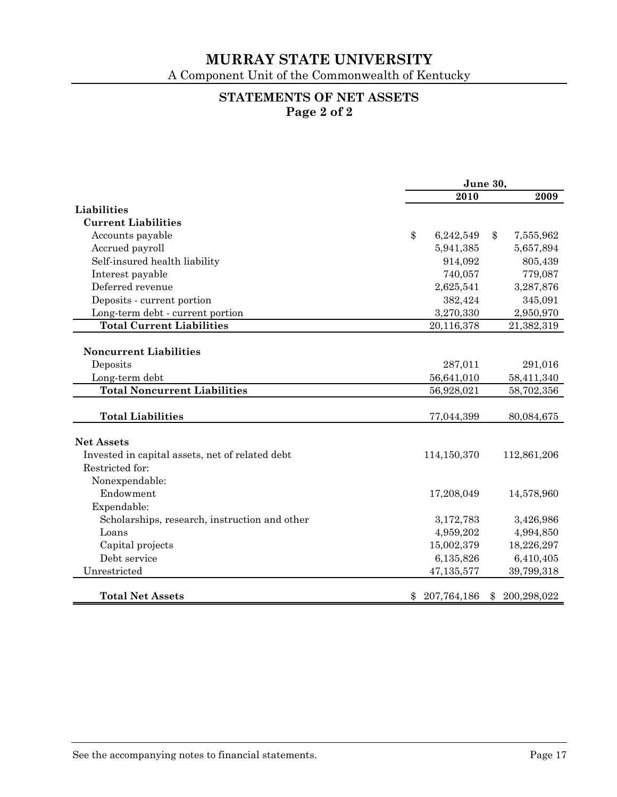A Component Unit of the Commonwealth of Kentucky

# **STATEMENTS OF NET ASSETS Page 2 of 2**

|                                                 | June 30, |             |    |             |
|-------------------------------------------------|----------|-------------|----|-------------|
|                                                 |          | 2010        |    | 2009        |
| Liabilities                                     |          |             |    |             |
| <b>Current Liabilities</b>                      |          |             |    |             |
| Accounts payable                                | \$       | 6,242,549   | \$ | 7,555,962   |
| Accrued payroll                                 |          | 5,941,385   |    | 5,657,894   |
| Self-insured health liability                   |          | 914,092     |    | 805,439     |
| Interest payable                                |          | 740,057     |    | 779,087     |
| Deferred revenue                                |          | 2,625,541   |    | 3,287,876   |
| Deposits - current portion                      |          | 382,424     |    | 345,091     |
| Long-term debt - current portion                |          | 3,270,330   |    | 2,950,970   |
| <b>Total Current Liabilities</b>                |          | 20,116,378  |    | 21,382,319  |
|                                                 |          |             |    |             |
| <b>Noncurrent Liabilities</b>                   |          |             |    |             |
| Deposits                                        |          | 287,011     |    | 291,016     |
| Long-term debt                                  |          | 56,641,010  |    | 58,411,340  |
| <b>Total Noncurrent Liabilities</b>             |          | 56,928,021  |    | 58,702,356  |
|                                                 |          |             |    |             |
| <b>Total Liabilities</b>                        |          | 77,044,399  |    | 80,084,675  |
|                                                 |          |             |    |             |
| <b>Net Assets</b>                               |          |             |    |             |
| Invested in capital assets, net of related debt |          | 114,150,370 |    | 112,861,206 |
| Restricted for:                                 |          |             |    |             |
| Nonexpendable:                                  |          |             |    |             |
| Endowment                                       |          | 17,208,049  |    | 14,578,960  |
| Expendable:                                     |          |             |    |             |
| Scholarships, research, instruction and other   |          | 3,172,783   |    | 3,426,986   |
| Loans                                           |          | 4,959,202   |    | 4,994,850   |
| Capital projects                                |          | 15,002,379  |    | 18,226,297  |
| Debt service                                    |          | 6,135,826   |    | 6,410,405   |
| Unrestricted                                    |          | 47,135,577  |    | 39,799,318  |
| <b>Total Net Assets</b>                         | \$       | 207,764,186 | \$ | 200,298,022 |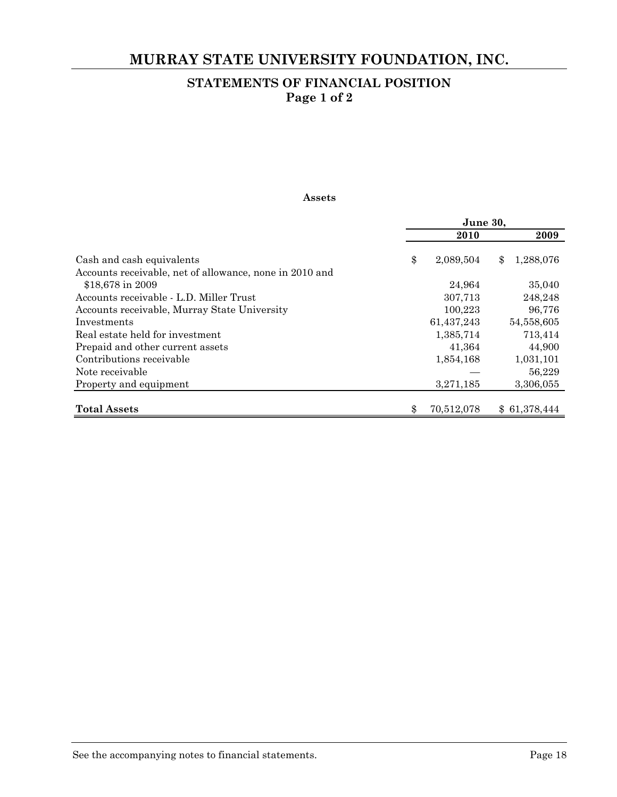# **MURRAY STATE UNIVERSITY FOUNDATION, INC.**

# **STATEMENTS OF FINANCIAL POSITION Page 1 of 2**

#### **Assets**

|                                                                             | June 30, |            |                 |  |
|-----------------------------------------------------------------------------|----------|------------|-----------------|--|
|                                                                             |          | 2010       | 2009            |  |
| Cash and cash equivalents                                                   | \$       | 2,089,504  | 1,288,076<br>\$ |  |
| Accounts receivable, net of allowance, none in 2010 and<br>\$18,678 in 2009 |          | 24,964     | 35,040          |  |
| Accounts receivable - L.D. Miller Trust                                     |          | 307,713    | 248,248         |  |
| Accounts receivable, Murray State University                                |          | 100,223    | 96,776          |  |
| Investments                                                                 |          | 61,437,243 | 54,558,605      |  |
| Real estate held for investment                                             |          | 1,385,714  | 713,414         |  |
| Prepaid and other current assets                                            |          | 41,364     | 44,900          |  |
| Contributions receivable                                                    |          | 1,854,168  | 1,031,101       |  |
| Note receivable                                                             |          |            | 56,229          |  |
| Property and equipment                                                      |          | 3,271,185  | 3,306,055       |  |
|                                                                             |          |            |                 |  |
| <b>Total Assets</b>                                                         | \$       | 70,512,078 | \$61,378,444    |  |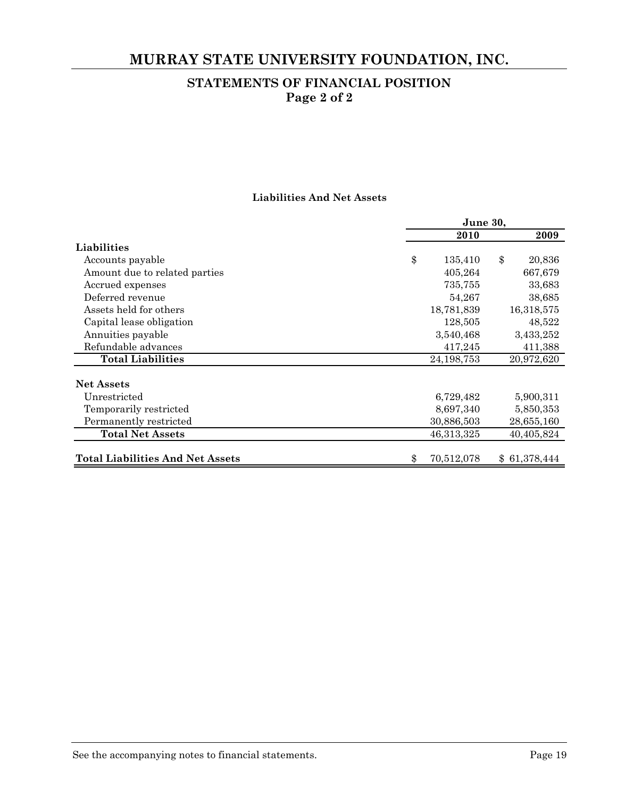# **MURRAY STATE UNIVERSITY FOUNDATION, INC.**

# **STATEMENTS OF FINANCIAL POSITION Page 2 of 2**

#### **Liabilities And Net Assets**

|                                         | June 30,         |              |  |  |
|-----------------------------------------|------------------|--------------|--|--|
|                                         | 2010             | 2009         |  |  |
| Liabilities                             |                  |              |  |  |
| Accounts payable                        | \$<br>135,410    | \$<br>20,836 |  |  |
| Amount due to related parties           | 405,264          | 667,679      |  |  |
| Accrued expenses                        | 735,755          | 33,683       |  |  |
| Deferred revenue                        | 54,267           | 38,685       |  |  |
| Assets held for others                  | 18,781,839       | 16,318,575   |  |  |
| Capital lease obligation                | 128,505          | 48,522       |  |  |
| Annuities payable                       | 3,540,468        | 3,433,252    |  |  |
| Refundable advances                     | 417,245          | 411,388      |  |  |
| <b>Total Liabilities</b>                | 24, 198, 753     | 20,972,620   |  |  |
| <b>Net Assets</b>                       |                  |              |  |  |
| Unrestricted                            | 6,729,482        | 5,900,311    |  |  |
| Temporarily restricted                  | 8,697,340        | 5,850,353    |  |  |
| Permanently restricted                  | 30,886,503       | 28,655,160   |  |  |
| <b>Total Net Assets</b>                 | 46,313,325       | 40,405,824   |  |  |
|                                         |                  |              |  |  |
| <b>Total Liabilities And Net Assets</b> | \$<br>70,512,078 | \$61,378,444 |  |  |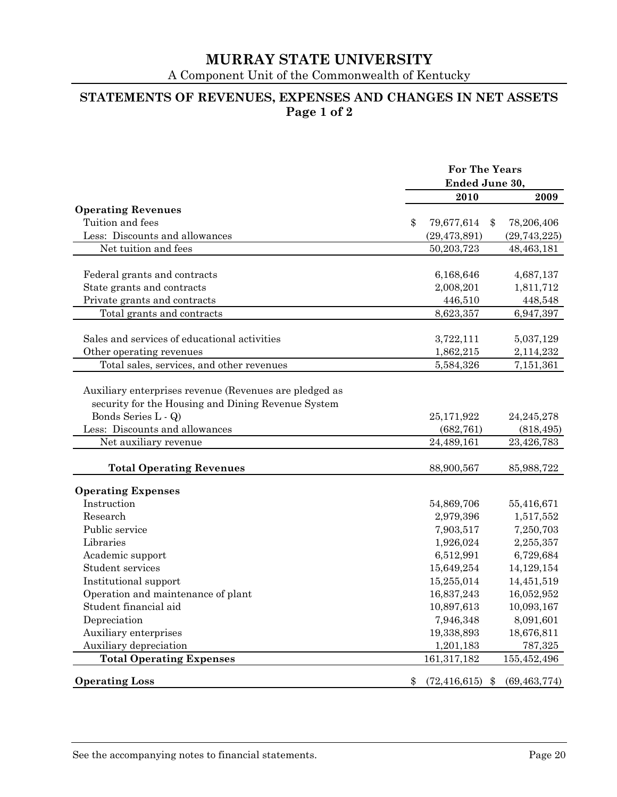A Component Unit of the Commonwealth of Kentucky

# **STATEMENTS OF REVENUES, EXPENSES AND CHANGES IN NET ASSETS Page 1 of 2**

|                                                                                                                                     |    | <b>For The Years</b><br>Ended June 30, |                |  |
|-------------------------------------------------------------------------------------------------------------------------------------|----|----------------------------------------|----------------|--|
|                                                                                                                                     |    |                                        |                |  |
|                                                                                                                                     |    | 2010                                   | 2009           |  |
| <b>Operating Revenues</b>                                                                                                           |    |                                        |                |  |
| Tuition and fees                                                                                                                    | \$ | 79,677,614<br>\$                       | 78,206,406     |  |
| Less: Discounts and allowances                                                                                                      |    | (29, 473, 891)                         | (29, 743, 225) |  |
| Net tuition and fees                                                                                                                |    | 50,203,723                             | 48,463,181     |  |
| Federal grants and contracts                                                                                                        |    | 6,168,646                              | 4,687,137      |  |
| State grants and contracts                                                                                                          |    | 2,008,201                              | 1,811,712      |  |
| Private grants and contracts                                                                                                        |    | 446,510                                | 448,548        |  |
| Total grants and contracts                                                                                                          |    | 8,623,357                              | 6,947,397      |  |
|                                                                                                                                     |    |                                        |                |  |
| Sales and services of educational activities                                                                                        |    | 3,722,111                              | 5,037,129      |  |
| Other operating revenues                                                                                                            |    | 1,862,215                              | 2,114,232      |  |
| Total sales, services, and other revenues                                                                                           |    | 5,584,326                              | 7,151,361      |  |
| Auxiliary enterprises revenue (Revenues are pledged as<br>security for the Housing and Dining Revenue System<br>Bonds Series L - Q) |    | 25,171,922                             | 24, 245, 278   |  |
| Less: Discounts and allowances                                                                                                      |    | (682, 761)                             | (818, 495)     |  |
| Net auxiliary revenue                                                                                                               |    | 24,489,161                             | 23,426,783     |  |
| <b>Total Operating Revenues</b>                                                                                                     |    | 88,900,567                             | 85,988,722     |  |
| <b>Operating Expenses</b>                                                                                                           |    |                                        |                |  |
| Instruction                                                                                                                         |    | 54,869,706                             | 55,416,671     |  |
| Research                                                                                                                            |    | 2,979,396                              | 1,517,552      |  |
| Public service                                                                                                                      |    | 7,903,517                              | 7,250,703      |  |
| Libraries                                                                                                                           |    | 1,926,024                              | 2,255,357      |  |
| Academic support                                                                                                                    |    | 6,512,991                              | 6,729,684      |  |
| Student services                                                                                                                    |    | 15,649,254                             | 14,129,154     |  |
| Institutional support                                                                                                               |    | 15,255,014                             | 14,451,519     |  |
| Operation and maintenance of plant                                                                                                  |    | 16,837,243                             | 16,052,952     |  |
| Student financial aid                                                                                                               |    | 10,897,613                             | 10,093,167     |  |
| Depreciation                                                                                                                        |    | 7,946,348                              | 8,091,601      |  |
| Auxiliary enterprises                                                                                                               |    | 19,338,893                             | 18,676,811     |  |
| Auxiliary depreciation                                                                                                              |    | 1,201,183                              | 787,325        |  |
| <b>Total Operating Expenses</b>                                                                                                     |    | 161,317,182                            | 155,452,496    |  |
| <b>Operating Loss</b>                                                                                                               | \$ | (72, 416, 615)<br>\$                   | (69, 463, 774) |  |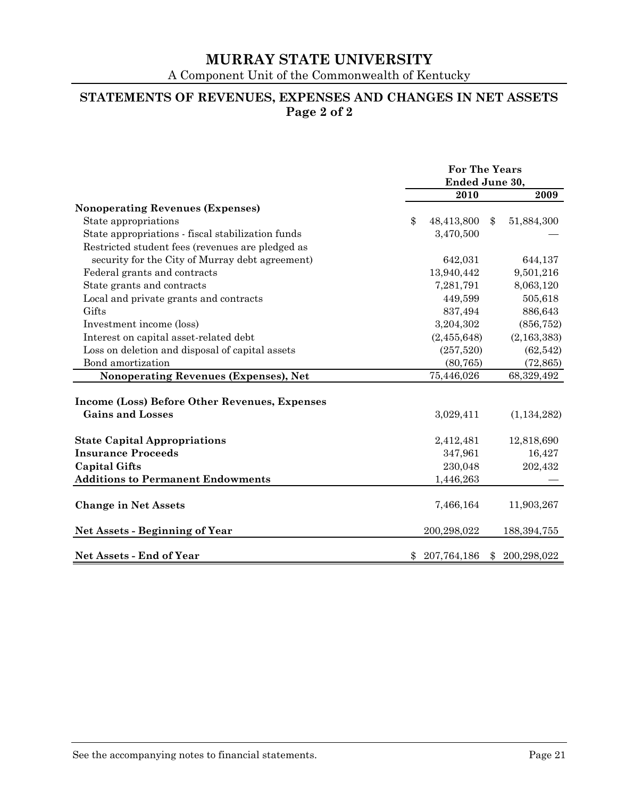A Component Unit of the Commonwealth of Kentucky

# **STATEMENTS OF REVENUES, EXPENSES AND CHANGES IN NET ASSETS Page 2 of 2**

|                                                   | <b>For The Years</b><br>Ended June 30, |             |               |               |
|---------------------------------------------------|----------------------------------------|-------------|---------------|---------------|
|                                                   |                                        | 2010        |               | 2009          |
| <b>Nonoperating Revenues (Expenses)</b>           |                                        |             |               |               |
| State appropriations                              | $\mathcal{S}$                          | 48,413,800  | $\mathbf{\$}$ | 51,884,300    |
| State appropriations - fiscal stabilization funds |                                        | 3,470,500   |               |               |
| Restricted student fees (revenues are pledged as  |                                        |             |               |               |
| security for the City of Murray debt agreement)   |                                        | 642,031     |               | 644,137       |
| Federal grants and contracts                      |                                        | 13,940,442  |               | 9,501,216     |
| State grants and contracts                        |                                        | 7,281,791   |               | 8,063,120     |
| Local and private grants and contracts            |                                        | 449,599     |               | 505,618       |
| Gifts                                             |                                        | 837,494     |               | 886,643       |
| Investment income (loss)                          |                                        | 3,204,302   |               | (856, 752)    |
| Interest on capital asset-related debt            |                                        | (2,455,648) |               | (2, 163, 383) |
| Loss on deletion and disposal of capital assets   |                                        | (257,520)   |               | (62, 542)     |
| Bond amortization                                 |                                        | (80, 765)   |               | (72, 865)     |
| Nonoperating Revenues (Expenses), Net             |                                        | 75,446,026  |               | 68,329,492    |
|                                                   |                                        |             |               |               |
| Income (Loss) Before Other Revenues, Expenses     |                                        |             |               |               |
| <b>Gains and Losses</b>                           |                                        | 3,029,411   |               | (1, 134, 282) |
|                                                   |                                        |             |               |               |
| <b>State Capital Appropriations</b>               |                                        | 2,412,481   |               | 12,818,690    |
| <b>Insurance Proceeds</b>                         |                                        | 347,961     |               | 16,427        |
| <b>Capital Gifts</b>                              |                                        | 230,048     |               | 202,432       |
| <b>Additions to Permanent Endowments</b>          |                                        | 1,446,263   |               |               |
|                                                   |                                        |             |               |               |
| <b>Change in Net Assets</b>                       |                                        | 7,466,164   |               | 11,903,267    |
| <b>Net Assets - Beginning of Year</b>             |                                        | 200,298,022 |               | 188, 394, 755 |
| Net Assets - End of Year                          | \$                                     | 207,764,186 | \$            | 200,298,022   |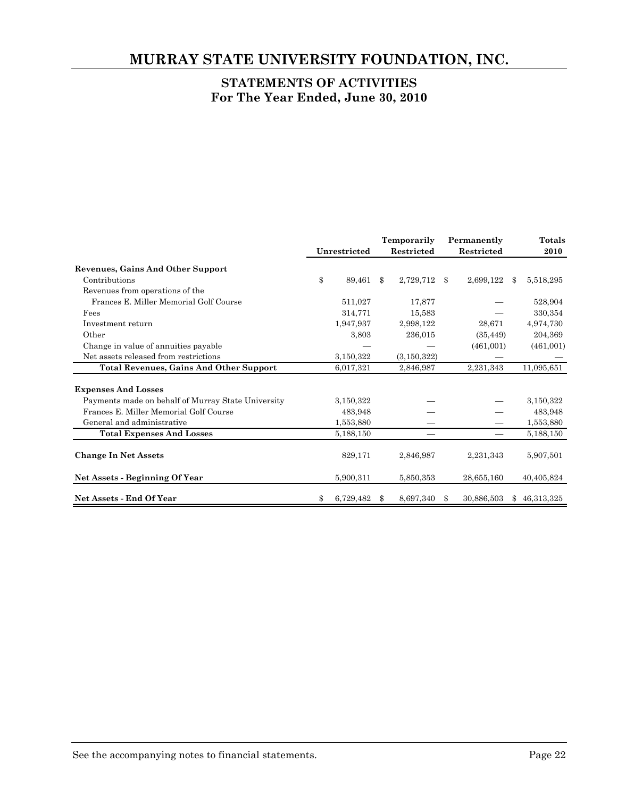# **MURRAY STATE UNIVERSITY FOUNDATION, INC.**

# **STATEMENTS OF ACTIVITIES For The Year Ended, June 30, 2010**

|                                                    |                 | Temporarily   |               | Permanently |            | Totals           |
|----------------------------------------------------|-----------------|---------------|---------------|-------------|------------|------------------|
|                                                    | Unrestricted    |               | Restricted    |             | Restricted | 2010             |
| <b>Revenues, Gains And Other Support</b>           |                 |               |               |             |            |                  |
| Contributions                                      | \$<br>89,461    | $\mathcal{S}$ | 2,729,712     | -S          | 2,699,122  | \$<br>5,518,295  |
| Revenues from operations of the                    |                 |               |               |             |            |                  |
| Frances E. Miller Memorial Golf Course             | 511,027         |               | 17,877        |             |            | 528,904          |
| Fees                                               | 314,771         |               | 15,583        |             |            | 330,354          |
| Investment return                                  | 1,947,937       |               | 2,998,122     |             | 28,671     | 4,974,730        |
| Other                                              | 3,803           |               | 236,015       |             | (35, 449)  | 204,369          |
| Change in value of annuities payable               |                 |               |               |             | (461,001)  | (461,001)        |
| Net assets released from restrictions              | 3,150,322       |               | (3, 150, 322) |             |            |                  |
| <b>Total Revenues, Gains And Other Support</b>     | 6,017,321       |               | 2,846,987     |             | 2,231,343  | 11,095,651       |
| <b>Expenses And Losses</b>                         |                 |               |               |             |            |                  |
| Payments made on behalf of Murray State University | 3,150,322       |               |               |             |            | 3,150,322        |
| Frances E. Miller Memorial Golf Course             | 483,948         |               |               |             |            | 483,948          |
| General and administrative                         | 1,553,880       |               |               |             |            | 1,553,880        |
| <b>Total Expenses And Losses</b>                   | 5,188,150       |               | —             |             |            | 5,188,150        |
| <b>Change In Net Assets</b>                        | 829,171         |               | 2,846,987     |             | 2,231,343  | 5,907,501        |
| <b>Net Assets - Beginning Of Year</b>              | 5,900,311       |               | 5,850,353     |             | 28,655,160 | 40,405,824       |
| <b>Net Assets - End Of Year</b>                    | \$<br>6,729,482 | \$.           | 8,697,340     | \$          | 30,886,503 | \$<br>46,313,325 |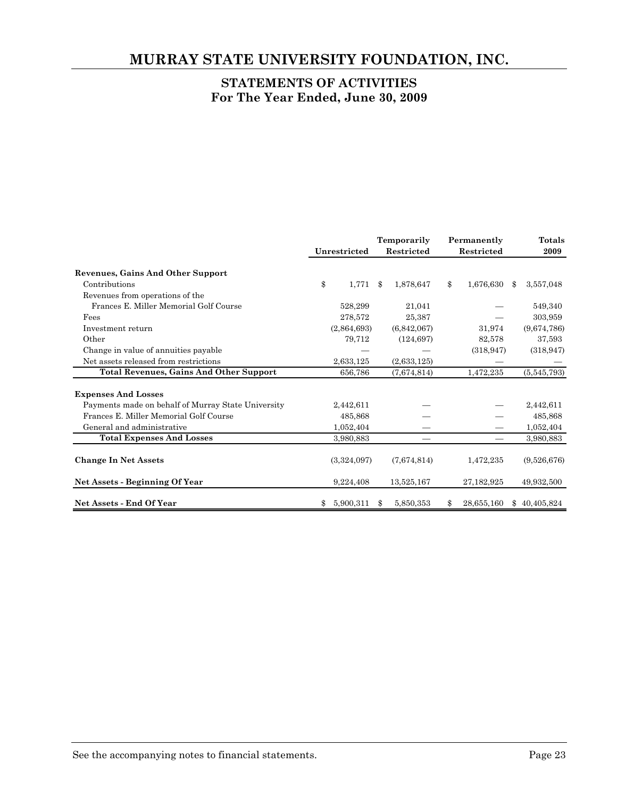# **MURRAY STATE UNIVERSITY FOUNDATION, INC.**

# **STATEMENTS OF ACTIVITIES For The Year Ended, June 30, 2009**

|                                                    | Unrestricted |    | Temporarily<br>Restricted | Permanently<br>Restricted | Totals<br>2009   |
|----------------------------------------------------|--------------|----|---------------------------|---------------------------|------------------|
| <b>Revenues, Gains And Other Support</b>           |              |    |                           |                           |                  |
| Contributions                                      | \$<br>1,771  | \$ | 1,878,647                 | \$<br>1,676,630           | \$<br>3,557,048  |
| Revenues from operations of the                    |              |    |                           |                           |                  |
| Frances E. Miller Memorial Golf Course             | 528,299      |    | 21,041                    |                           | 549,340          |
| Fees                                               | 278,572      |    | 25,387                    |                           | 303,959          |
| Investment return                                  | (2,864,693)  |    | (6,842,067)               | 31,974                    | (9,674,786)      |
| Other                                              | 79,712       |    | (124, 697)                | 82,578                    | 37,593           |
| Change in value of annuities payable               |              |    |                           | (318, 947)                | (318, 947)       |
| Net assets released from restrictions              | 2,633,125    |    | (2,633,125)               |                           |                  |
| <b>Total Revenues, Gains And Other Support</b>     | 656,786      |    | (7,674,814)               | 1,472,235                 | (5,545,793)      |
| <b>Expenses And Losses</b>                         |              |    |                           |                           |                  |
| Payments made on behalf of Murray State University | 2,442,611    |    |                           |                           | 2,442,611        |
| Frances E. Miller Memorial Golf Course             | 485,868      |    |                           |                           | 485,868          |
| General and administrative                         | 1,052,404    |    |                           |                           | 1,052,404        |
| <b>Total Expenses And Losses</b>                   | 3,980,883    |    |                           |                           | 3,980,883        |
| <b>Change In Net Assets</b>                        | (3,324,097)  |    | (7,674,814)               | 1,472,235                 | (9,526,676)      |
| Net Assets - Beginning Of Year                     | 9,224,408    |    | 13,525,167                | 27, 182, 925              | 49,932,500       |
| <b>Net Assets - End Of Year</b>                    | 5,900,311    | Ж, | 5,850,353                 | 28,655,160                | \$<br>40,405,824 |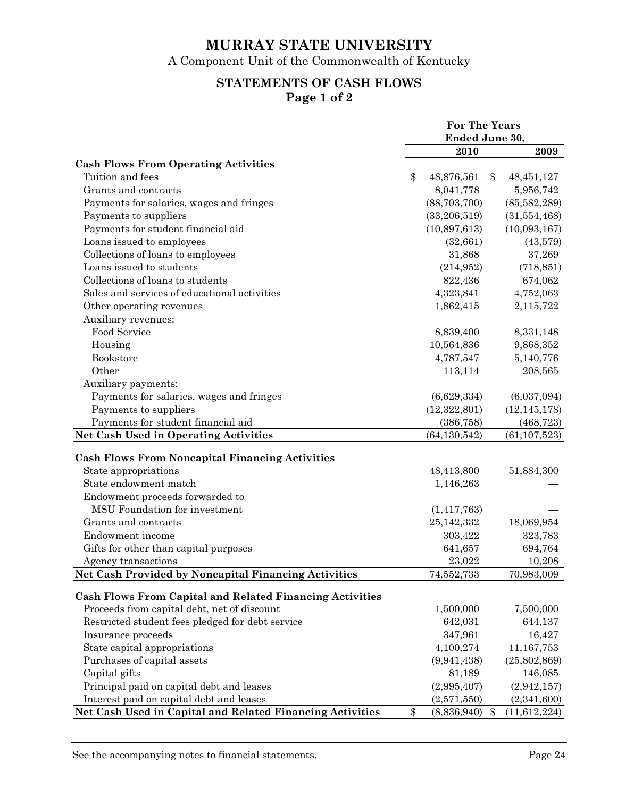# **STATEMENTS OF CASH FLOWS Page 1 of 2**

|                                                                 | <b>For The Years</b> |                |    |                |
|-----------------------------------------------------------------|----------------------|----------------|----|----------------|
|                                                                 |                      | Ended June 30, |    |                |
|                                                                 |                      | 2010           |    | 2009           |
| <b>Cash Flows From Operating Activities</b>                     |                      |                |    |                |
| Tuition and fees                                                | \$                   | 48,876,561     | \$ | 48, 451, 127   |
| Grants and contracts                                            |                      | 8,041,778      |    | 5,956,742      |
| Payments for salaries, wages and fringes                        |                      | (88, 703, 700) |    | (85,582,289)   |
| Payments to suppliers                                           |                      | (33,206,519)   |    | (31,554,468)   |
| Payments for student financial aid                              |                      | (10,897,613)   |    | (10,093,167)   |
| Loans issued to employees                                       |                      | (32, 661)      |    | (43,579)       |
| Collections of loans to employees                               |                      | 31,868         |    | 37,269         |
| Loans issued to students                                        |                      | (214, 952)     |    | (718, 851)     |
| Collections of loans to students                                |                      | 822,436        |    | 674,062        |
| Sales and services of educational activities                    |                      | 4,323,841      |    | 4,752,063      |
| Other operating revenues                                        |                      | 1,862,415      |    | 2,115,722      |
| Auxiliary revenues:                                             |                      |                |    |                |
| Food Service                                                    |                      | 8,839,400      |    | 8,331,148      |
| Housing                                                         |                      | 10,564,836     |    | 9,868,352      |
| Bookstore                                                       |                      | 4,787,547      |    | 5,140,776      |
| Other                                                           |                      | 113,114        |    | 208,565        |
| Auxiliary payments:                                             |                      |                |    |                |
| Payments for salaries, wages and fringes                        |                      | (6,629,334)    |    | (6,037,094)    |
| Payments to suppliers                                           |                      | (12,322,801)   |    | (12, 145, 178) |
| Payments for student financial aid                              |                      | (386, 758)     |    | (468, 723)     |
| <b>Net Cash Used in Operating Activities</b>                    |                      | (64, 130, 542) |    | (61, 107, 523) |
|                                                                 |                      |                |    |                |
| <b>Cash Flows From Noncapital Financing Activities</b>          |                      |                |    |                |
| State appropriations                                            |                      | 48,413,800     |    | 51,884,300     |
| State endowment match                                           |                      | 1,446,263      |    |                |
| Endowment proceeds forwarded to                                 |                      |                |    |                |
| MSU Foundation for investment                                   |                      | (1,417,763)    |    |                |
| Grants and contracts                                            |                      | 25,142,332     |    | 18,069,954     |
| Endowment income                                                |                      | 303,422        |    | 323,783        |
| Gifts for other than capital purposes                           |                      | 641,657        |    | 694,764        |
| Agency transactions                                             |                      | 23,022         |    | 10,208         |
| Net Cash Provided by Noncapital Financing Activities            |                      | 74,552,733     |    | 70,983,009     |
|                                                                 |                      |                |    |                |
| <b>Cash Flows From Capital and Related Financing Activities</b> |                      |                |    |                |
| Proceeds from capital debt, net of discount                     |                      | 1,500,000      |    | 7,500,000      |
| Restricted student fees pledged for debt service                |                      | 642,031        |    | 644,137        |
| Insurance proceeds                                              |                      | 347,961        |    | 16,427         |
| State capital appropriations                                    |                      | 4,100,274      |    | 11,167,753     |
| Purchases of capital assets                                     |                      | (9,941,438)    |    | (25, 802, 869) |
| Capital gifts                                                   |                      | 81,189         |    | 146,085        |
| Principal paid on capital debt and leases                       |                      | (2,995,407)    |    | (2, 942, 157)  |
| Interest paid on capital debt and leases                        |                      | (2,571,550)    |    | (2,341,600)    |
| Net Cash Used in Capital and Related Financing Activities       | \$                   | (8,836,940)    | \$ | (11, 612, 224) |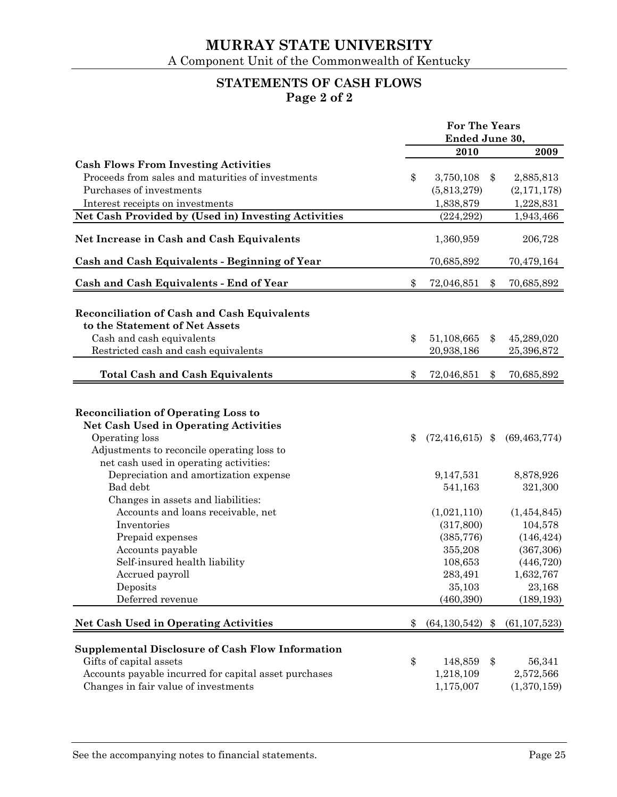# **STATEMENTS OF CASH FLOWS Page 2 of 2**

|                                                         | For The Years |                     |    |                |
|---------------------------------------------------------|---------------|---------------------|----|----------------|
|                                                         |               | Ended June 30,      |    |                |
|                                                         |               | 2010                |    | 2009           |
| <b>Cash Flows From Investing Activities</b>             |               |                     |    |                |
| Proceeds from sales and maturities of investments       | \$            | 3,750,108           | \$ | 2,885,813      |
| Purchases of investments                                |               | (5,813,279)         |    | (2,171,178)    |
| Interest receipts on investments                        |               | 1,838,879           |    | 1,228,831      |
| Net Cash Provided by (Used in) Investing Activities     |               | (224, 292)          |    | 1,943,466      |
| Net Increase in Cash and Cash Equivalents               |               | 1,360,959           |    | 206,728        |
| Cash and Cash Equivalents - Beginning of Year           |               | 70,685,892          |    | 70,479,164     |
| Cash and Cash Equivalents - End of Year                 | \$            | 72,046,851          | \$ | 70,685,892     |
|                                                         |               |                     |    |                |
| Reconciliation of Cash and Cash Equivalents             |               |                     |    |                |
| to the Statement of Net Assets                          |               |                     |    |                |
| Cash and cash equivalents                               | \$            | 51,108,665          | \$ | 45,289,020     |
| Restricted cash and cash equivalents                    |               | 20,938,186          |    | 25,396,872     |
| <b>Total Cash and Cash Equivalents</b>                  | \$            | 72,046,851          | \$ | 70,685,892     |
|                                                         |               |                     |    |                |
| <b>Reconciliation of Operating Loss to</b>              |               |                     |    |                |
| <b>Net Cash Used in Operating Activities</b>            |               |                     |    |                |
| Operating loss                                          | \$            | $(72, 416, 615)$ \$ |    | (69, 463, 774) |
| Adjustments to reconcile operating loss to              |               |                     |    |                |
| net cash used in operating activities:                  |               |                     |    |                |
| Depreciation and amortization expense                   |               | 9,147,531           |    | 8,878,926      |
| Bad debt                                                |               | 541,163             |    | 321,300        |
| Changes in assets and liabilities:                      |               |                     |    |                |
| Accounts and loans receivable, net                      |               | (1,021,110)         |    | (1,454,845)    |
| Inventories                                             |               | (317, 800)          |    | 104,578        |
| Prepaid expenses                                        |               | (385, 776)          |    | (146, 424)     |
| Accounts payable                                        |               | 355,208             |    | (367, 306)     |
| Self-insured health liability                           |               | 108,653             |    | (446, 720)     |
| Accrued payroll                                         |               | 283,491             |    | 1,632,767      |
| Deposits                                                |               | 35,103              |    | 23,168         |
| Deferred revenue                                        |               | (460, 390)          |    | (189, 193)     |
| <b>Net Cash Used in Operating Activities</b>            | \$            | (64, 130, 542)      | \$ | (61, 107, 523) |
|                                                         |               |                     |    |                |
| <b>Supplemental Disclosure of Cash Flow Information</b> |               |                     |    |                |
| Gifts of capital assets                                 | \$            | 148,859             | \$ | 56,341         |
| Accounts payable incurred for capital asset purchases   |               | 1,218,109           |    | 2,572,566      |
| Changes in fair value of investments                    |               | 1,175,007           |    | (1,370,159)    |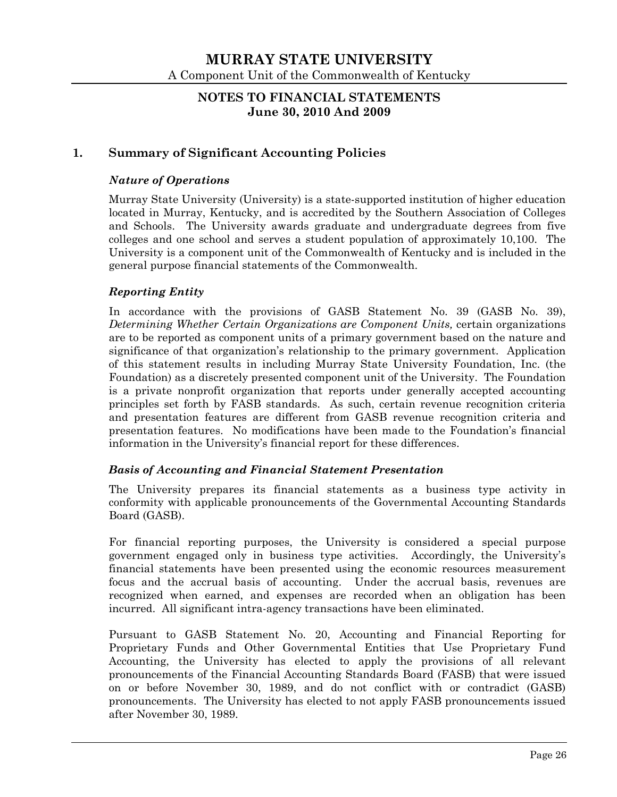### **NOTES TO FINANCIAL STATEMENTS June 30, 2010 And 2009**

## **1. Summary of Significant Accounting Policies**

#### *Nature of Operations*

Murray State University (University) is a state-supported institution of higher education located in Murray, Kentucky, and is accredited by the Southern Association of Colleges and Schools. The University awards graduate and undergraduate degrees from five colleges and one school and serves a student population of approximately 10,100. The University is a component unit of the Commonwealth of Kentucky and is included in the general purpose financial statements of the Commonwealth.

#### *Reporting Entity*

In accordance with the provisions of GASB Statement No. 39 (GASB No. 39), *Determining Whether Certain Organizations are Component Units,* certain organizations are to be reported as component units of a primary government based on the nature and significance of that organization's relationship to the primary government. Application of this statement results in including Murray State University Foundation, Inc. (the Foundation) as a discretely presented component unit of the University. The Foundation is a private nonprofit organization that reports under generally accepted accounting principles set forth by FASB standards. As such, certain revenue recognition criteria and presentation features are different from GASB revenue recognition criteria and presentation features. No modifications have been made to the Foundation's financial information in the University's financial report for these differences.

#### *Basis of Accounting and Financial Statement Presentation*

The University prepares its financial statements as a business type activity in conformity with applicable pronouncements of the Governmental Accounting Standards Board (GASB).

For financial reporting purposes, the University is considered a special purpose government engaged only in business type activities. Accordingly, the University's financial statements have been presented using the economic resources measurement focus and the accrual basis of accounting. Under the accrual basis, revenues are recognized when earned, and expenses are recorded when an obligation has been incurred. All significant intra-agency transactions have been eliminated.

Pursuant to GASB Statement No. 20, Accounting and Financial Reporting for Proprietary Funds and Other Governmental Entities that Use Proprietary Fund Accounting, the University has elected to apply the provisions of all relevant pronouncements of the Financial Accounting Standards Board (FASB) that were issued on or before November 30, 1989, and do not conflict with or contradict (GASB) pronouncements. The University has elected to not apply FASB pronouncements issued after November 30, 1989.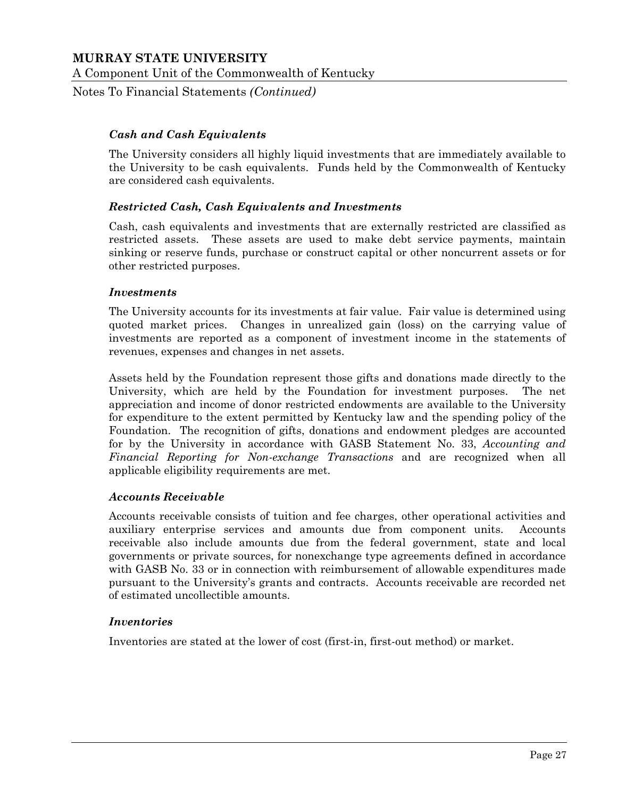Notes To Financial Statements *(Continued)*

#### *Cash and Cash Equivalents*

The University considers all highly liquid investments that are immediately available to the University to be cash equivalents. Funds held by the Commonwealth of Kentucky are considered cash equivalents.

#### *Restricted Cash, Cash Equivalents and Investments*

Cash, cash equivalents and investments that are externally restricted are classified as restricted assets. These assets are used to make debt service payments, maintain sinking or reserve funds, purchase or construct capital or other noncurrent assets or for other restricted purposes.

#### *Investments*

The University accounts for its investments at fair value. Fair value is determined using quoted market prices. Changes in unrealized gain (loss) on the carrying value of investments are reported as a component of investment income in the statements of revenues, expenses and changes in net assets.

Assets held by the Foundation represent those gifts and donations made directly to the University, which are held by the Foundation for investment purposes. The net appreciation and income of donor restricted endowments are available to the University for expenditure to the extent permitted by Kentucky law and the spending policy of the Foundation. The recognition of gifts, donations and endowment pledges are accounted for by the University in accordance with GASB Statement No. 33, *Accounting and Financial Reporting for Non-exchange Transactions* and are recognized when all applicable eligibility requirements are met.

#### *Accounts Receivable*

Accounts receivable consists of tuition and fee charges, other operational activities and auxiliary enterprise services and amounts due from component units. Accounts receivable also include amounts due from the federal government, state and local governments or private sources, for nonexchange type agreements defined in accordance with GASB No. 33 or in connection with reimbursement of allowable expenditures made pursuant to the University's grants and contracts. Accounts receivable are recorded net of estimated uncollectible amounts.

#### *Inventories*

Inventories are stated at the lower of cost (first-in, first-out method) or market.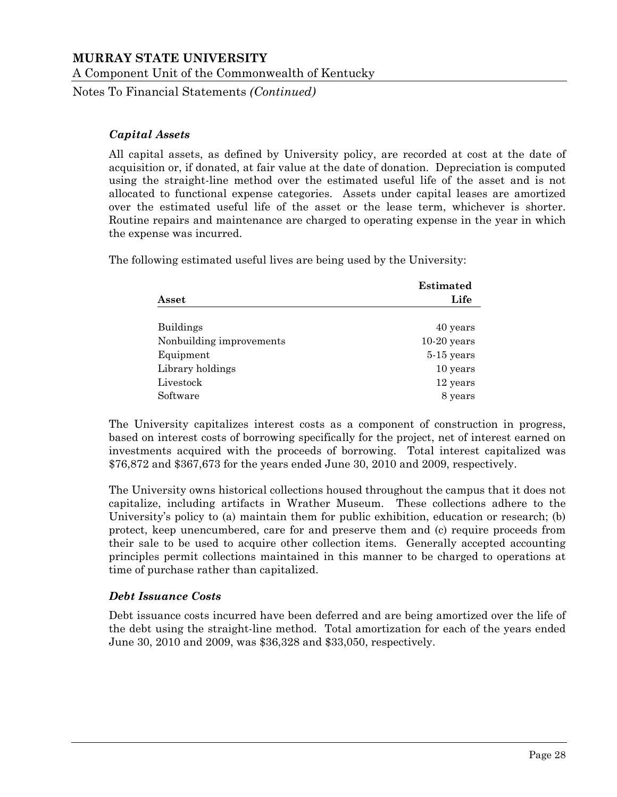Notes To Financial Statements *(Continued)*

#### *Capital Assets*

All capital assets, as defined by University policy, are recorded at cost at the date of acquisition or, if donated, at fair value at the date of donation. Depreciation is computed using the straight-line method over the estimated useful life of the asset and is not allocated to functional expense categories. Assets under capital leases are amortized over the estimated useful life of the asset or the lease term, whichever is shorter. Routine repairs and maintenance are charged to operating expense in the year in which the expense was incurred.

The following estimated useful lives are being used by the University:

|                          | <b>Estimated</b> |
|--------------------------|------------------|
| Asset                    | Life             |
| <b>Buildings</b>         | 40 years         |
| Nonbuilding improvements | $10-20$ years    |
| Equipment                | $5-15$ years     |
| Library holdings         | 10 years         |
| Livestock                | 12 years         |
| Software                 | 8 years          |

The University capitalizes interest costs as a component of construction in progress, based on interest costs of borrowing specifically for the project, net of interest earned on investments acquired with the proceeds of borrowing. Total interest capitalized was \$76,872 and \$367,673 for the years ended June 30, 2010 and 2009, respectively.

The University owns historical collections housed throughout the campus that it does not capitalize, including artifacts in Wrather Museum. These collections adhere to the University's policy to (a) maintain them for public exhibition, education or research; (b) protect, keep unencumbered, care for and preserve them and (c) require proceeds from their sale to be used to acquire other collection items. Generally accepted accounting principles permit collections maintained in this manner to be charged to operations at time of purchase rather than capitalized.

#### *Debt Issuance Costs*

Debt issuance costs incurred have been deferred and are being amortized over the life of the debt using the straight-line method. Total amortization for each of the years ended June 30, 2010 and 2009, was \$36,328 and \$33,050, respectively.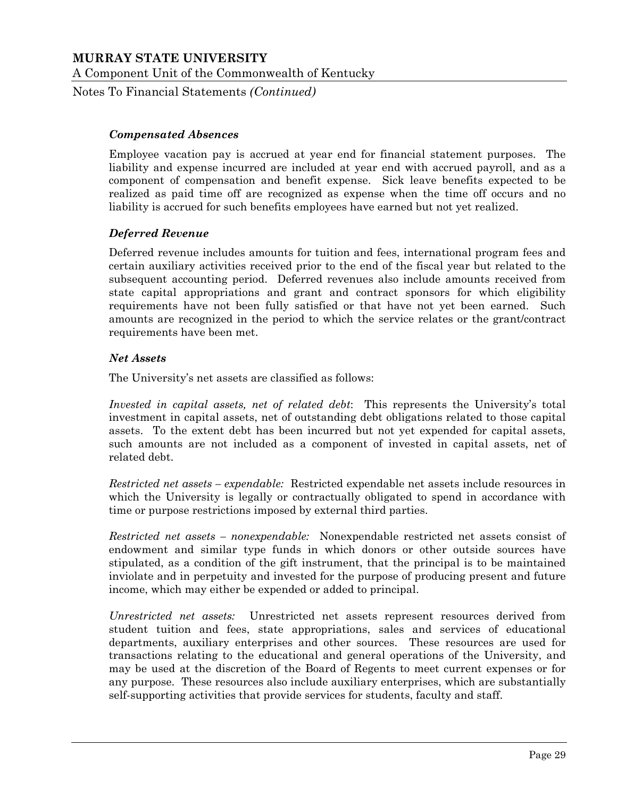Notes To Financial Statements *(Continued)*

#### *Compensated Absences*

Employee vacation pay is accrued at year end for financial statement purposes. The liability and expense incurred are included at year end with accrued payroll, and as a component of compensation and benefit expense. Sick leave benefits expected to be realized as paid time off are recognized as expense when the time off occurs and no liability is accrued for such benefits employees have earned but not yet realized.

#### *Deferred Revenue*

Deferred revenue includes amounts for tuition and fees, international program fees and certain auxiliary activities received prior to the end of the fiscal year but related to the subsequent accounting period. Deferred revenues also include amounts received from state capital appropriations and grant and contract sponsors for which eligibility requirements have not been fully satisfied or that have not yet been earned. Such amounts are recognized in the period to which the service relates or the grant/contract requirements have been met.

#### *Net Assets*

The University's net assets are classified as follows:

*Invested in capital assets, net of related debt*: This represents the University's total investment in capital assets, net of outstanding debt obligations related to those capital assets. To the extent debt has been incurred but not yet expended for capital assets, such amounts are not included as a component of invested in capital assets, net of related debt.

*Restricted net assets – expendable:* Restricted expendable net assets include resources in which the University is legally or contractually obligated to spend in accordance with time or purpose restrictions imposed by external third parties.

*Restricted net assets – nonexpendable:* Nonexpendable restricted net assets consist of endowment and similar type funds in which donors or other outside sources have stipulated, as a condition of the gift instrument, that the principal is to be maintained inviolate and in perpetuity and invested for the purpose of producing present and future income, which may either be expended or added to principal.

*Unrestricted net assets:* Unrestricted net assets represent resources derived from student tuition and fees, state appropriations, sales and services of educational departments, auxiliary enterprises and other sources. These resources are used for transactions relating to the educational and general operations of the University, and may be used at the discretion of the Board of Regents to meet current expenses or for any purpose. These resources also include auxiliary enterprises, which are substantially self-supporting activities that provide services for students, faculty and staff.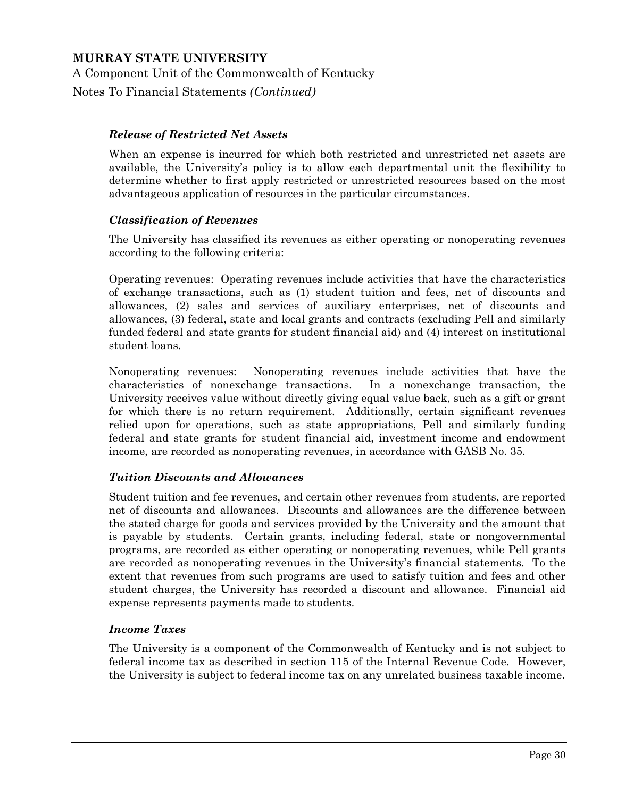Notes To Financial Statements *(Continued)*

#### *Release of Restricted Net Assets*

When an expense is incurred for which both restricted and unrestricted net assets are available, the University's policy is to allow each departmental unit the flexibility to determine whether to first apply restricted or unrestricted resources based on the most advantageous application of resources in the particular circumstances.

#### *Classification of Revenues*

The University has classified its revenues as either operating or nonoperating revenues according to the following criteria:

Operating revenues: Operating revenues include activities that have the characteristics of exchange transactions, such as (1) student tuition and fees, net of discounts and allowances, (2) sales and services of auxiliary enterprises, net of discounts and allowances, (3) federal, state and local grants and contracts (excluding Pell and similarly funded federal and state grants for student financial aid) and (4) interest on institutional student loans.

Nonoperating revenues: Nonoperating revenues include activities that have the characteristics of nonexchange transactions. In a nonexchange transaction, the University receives value without directly giving equal value back, such as a gift or grant for which there is no return requirement. Additionally, certain significant revenues relied upon for operations, such as state appropriations, Pell and similarly funding federal and state grants for student financial aid, investment income and endowment income, are recorded as nonoperating revenues, in accordance with GASB No. 35.

#### *Tuition Discounts and Allowances*

Student tuition and fee revenues, and certain other revenues from students, are reported net of discounts and allowances. Discounts and allowances are the difference between the stated charge for goods and services provided by the University and the amount that is payable by students. Certain grants, including federal, state or nongovernmental programs, are recorded as either operating or nonoperating revenues, while Pell grants are recorded as nonoperating revenues in the University's financial statements. To the extent that revenues from such programs are used to satisfy tuition and fees and other student charges, the University has recorded a discount and allowance. Financial aid expense represents payments made to students.

#### *Income Taxes*

The University is a component of the Commonwealth of Kentucky and is not subject to federal income tax as described in section 115 of the Internal Revenue Code. However, the University is subject to federal income tax on any unrelated business taxable income.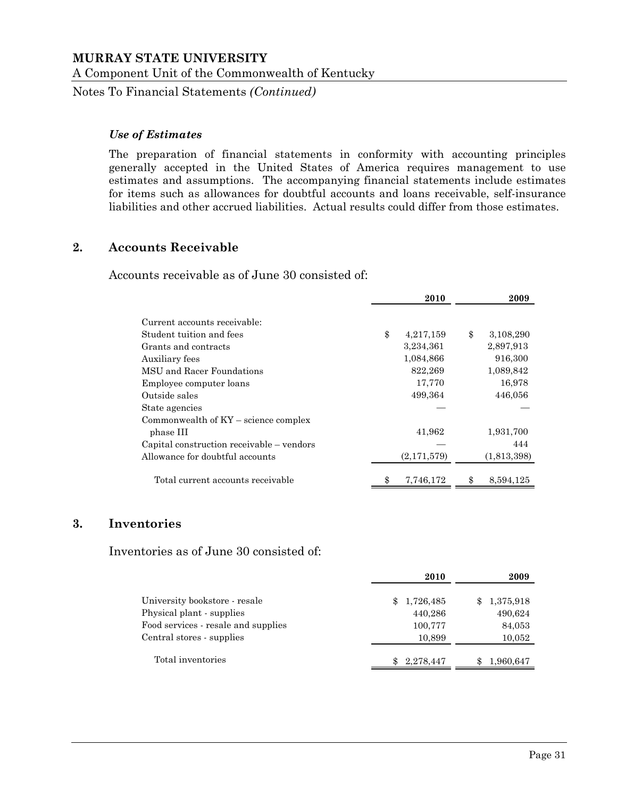Notes To Financial Statements *(Continued)*

#### *Use of Estimates*

The preparation of financial statements in conformity with accounting principles generally accepted in the United States of America requires management to use estimates and assumptions. The accompanying financial statements include estimates for items such as allowances for doubtful accounts and loans receivable, self-insurance liabilities and other accrued liabilities. Actual results could differ from those estimates.

#### **2. Accounts Receivable**

Accounts receivable as of June 30 consisted of:

|                                           | 2010            | 2009            |
|-------------------------------------------|-----------------|-----------------|
| Current accounts receivable:              |                 |                 |
| Student tuition and fees                  | \$<br>4,217,159 | \$<br>3,108,290 |
| Grants and contracts                      | 3,234,361       | 2,897,913       |
| Auxiliary fees                            | 1,084,866       | 916,300         |
| MSU and Racer Foundations                 | 822,269         | 1,089,842       |
| Employee computer loans                   | 17,770          | 16,978          |
| Outside sales                             | 499,364         | 446,056         |
| State agencies                            |                 |                 |
| Commonwealth of $KY$ – science complex    |                 |                 |
| phase III                                 | 41,962          | 1,931,700       |
| Capital construction receivable – vendors |                 | 444             |
| Allowance for doubtful accounts           | (2,171,579)     | (1,813,398)     |
| Total current accounts receivable         | 7,746,172       | \$<br>8,594,125 |

#### **3. Inventories**

Inventories as of June 30 consisted of:

|                                     | 2010            | 2009            |
|-------------------------------------|-----------------|-----------------|
| University bookstore - resale       | 1,726,485<br>\$ | 1,375,918       |
| Physical plant - supplies           | 440,286         | 490,624         |
| Food services - resale and supplies | 100,777         | 84,053          |
| Central stores - supplies           | 10,899          | 10,052          |
| Total inventories                   | 2,278,447<br>\$ | 1,960,647<br>\$ |
|                                     |                 |                 |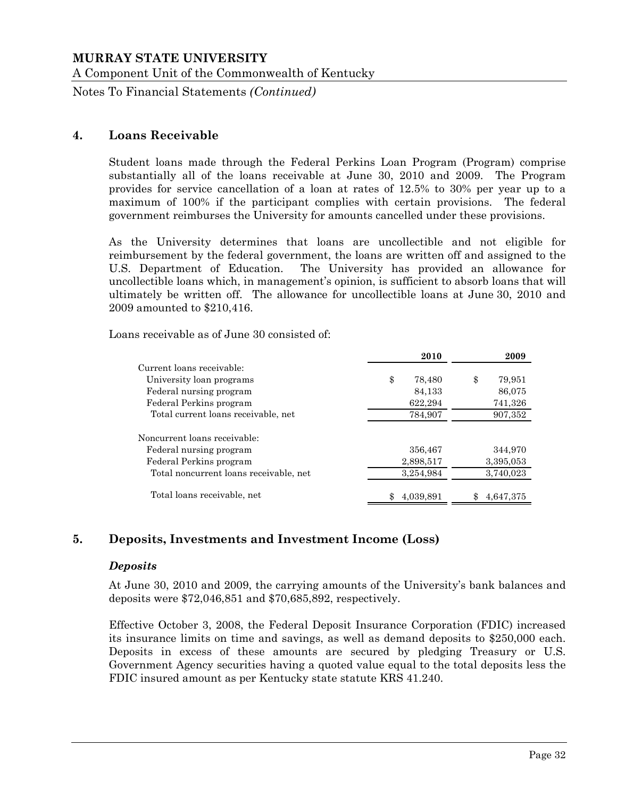Notes To Financial Statements *(Continued)*

#### **4. Loans Receivable**

Student loans made through the Federal Perkins Loan Program (Program) comprise substantially all of the loans receivable at June 30, 2010 and 2009. The Program provides for service cancellation of a loan at rates of 12.5% to 30% per year up to a maximum of 100% if the participant complies with certain provisions. The federal government reimburses the University for amounts cancelled under these provisions.

As the University determines that loans are uncollectible and not eligible for reimbursement by the federal government, the loans are written off and assigned to the U.S. Department of Education. The University has provided an allowance for uncollectible loans which, in management's opinion, is sufficient to absorb loans that will ultimately be written off. The allowance for uncollectible loans at June 30, 2010 and 2009 amounted to \$210,416.

Loans receivable as of June 30 consisted of:

|                                        | 2010         | 2009         |
|----------------------------------------|--------------|--------------|
| Current loans receivable:              |              |              |
| University loan programs               | \$<br>78,480 | \$<br>79,951 |
| Federal nursing program                | 84,133       | 86,075       |
| Federal Perkins program                | 622,294      | 741,326      |
| Total current loans receivable, net    | 784,907      | 907,352      |
| Noncurrent loans receivable:           |              |              |
| Federal nursing program                | 356,467      | 344,970      |
| Federal Perkins program                | 2,898,517    | 3,395,053    |
| Total noncurrent loans receivable, net | 3,254,984    | 3,740,023    |
| Total loans receivable, net            | 4,039,891    | 4,647,375    |

#### **5. Deposits, Investments and Investment Income (Loss)**

#### *Deposits*

At June 30, 2010 and 2009, the carrying amounts of the University's bank balances and deposits were \$72,046,851 and \$70,685,892, respectively.

Effective October 3, 2008, the Federal Deposit Insurance Corporation (FDIC) increased its insurance limits on time and savings, as well as demand deposits to \$250,000 each. Deposits in excess of these amounts are secured by pledging Treasury or U.S. Government Agency securities having a quoted value equal to the total deposits less the FDIC insured amount as per Kentucky state statute KRS 41.240.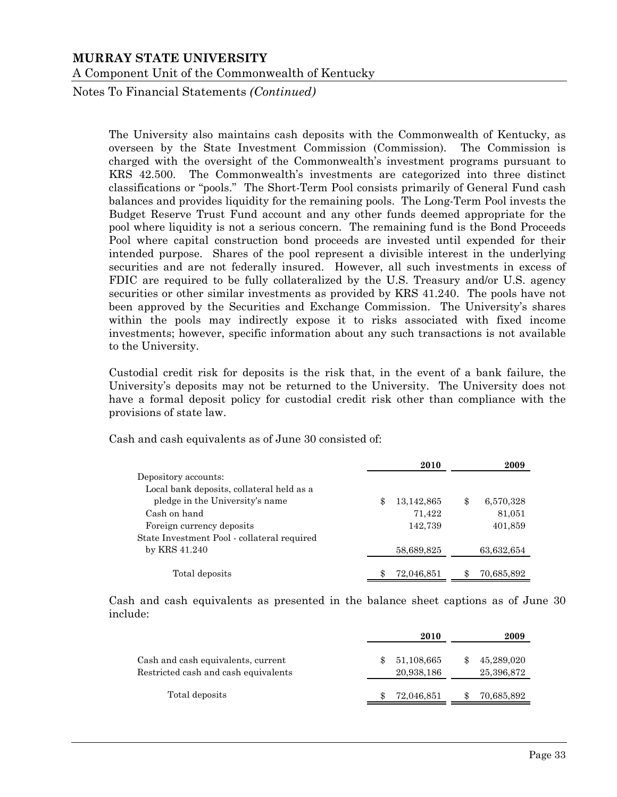Notes To Financial Statements *(Continued)*

The University also maintains cash deposits with the Commonwealth of Kentucky, as overseen by the State Investment Commission (Commission). The Commission is charged with the oversight of the Commonwealth's investment programs pursuant to KRS 42.500. The Commonwealth's investments are categorized into three distinct classifications or "pools." The Short-Term Pool consists primarily of General Fund cash balances and provides liquidity for the remaining pools. The Long-Term Pool invests the Budget Reserve Trust Fund account and any other funds deemed appropriate for the pool where liquidity is not a serious concern. The remaining fund is the Bond Proceeds Pool where capital construction bond proceeds are invested until expended for their intended purpose. Shares of the pool represent a divisible interest in the underlying securities and are not federally insured. However, all such investments in excess of FDIC are required to be fully collateralized by the U.S. Treasury and/or U.S. agency securities or other similar investments as provided by KRS 41.240. The pools have not been approved by the Securities and Exchange Commission. The University's shares within the pools may indirectly expose it to risks associated with fixed income investments; however, specific information about any such transactions is not available to the University.

Custodial credit risk for deposits is the risk that, in the event of a bank failure, the University's deposits may not be returned to the University. The University does not have a formal deposit policy for custodial credit risk other than compliance with the provisions of state law.

Cash and cash equivalents as of June 30 consisted of:

|                                             | 2010             | 2009            |
|---------------------------------------------|------------------|-----------------|
| Depository accounts:                        |                  |                 |
| Local bank deposits, collateral held as a   |                  |                 |
| pledge in the University's name             | \$<br>13,142,865 | \$<br>6,570,328 |
| Cash on hand                                | 71,422           | 81,051          |
| Foreign currency deposits                   | 142,739          | 401,859         |
| State Investment Pool - collateral required |                  |                 |
| by KRS 41.240                               | 58,689,825       | 63,632,654      |
|                                             |                  |                 |
| Total deposits                              | 72,046,851       | 70,685,892      |

Cash and cash equivalents as presented in the balance sheet captions as of June 30 include:

|                                                                            | 2010                     | 2009                     |
|----------------------------------------------------------------------------|--------------------------|--------------------------|
| Cash and cash equivalents, current<br>Restricted cash and cash equivalents | 51,108,665<br>20,938,186 | 45,289,020<br>25,396,872 |
| Total deposits                                                             | 72,046,851               | 70,685,892               |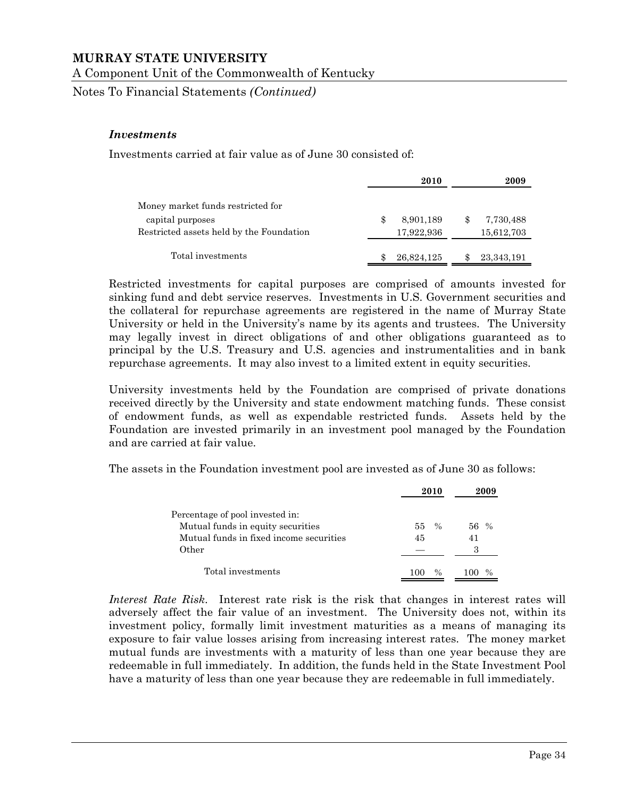A Component Unit of the Commonwealth of Kentucky

Notes To Financial Statements *(Continued)*

#### *Investments*

Investments carried at fair value as of June 30 consisted of:

|                                          | 2010            |    | 2009         |
|------------------------------------------|-----------------|----|--------------|
| Money market funds restricted for        |                 |    |              |
| capital purposes                         | \$<br>8,901,189 | -S | 7,730,488    |
| Restricted assets held by the Foundation | 17,922,936      |    | 15,612,703   |
| Total investments                        | 26,824,125      |    | 23, 343, 191 |

Restricted investments for capital purposes are comprised of amounts invested for sinking fund and debt service reserves. Investments in U.S. Government securities and the collateral for repurchase agreements are registered in the name of Murray State University or held in the University's name by its agents and trustees. The University may legally invest in direct obligations of and other obligations guaranteed as to principal by the U.S. Treasury and U.S. agencies and instrumentalities and in bank repurchase agreements. It may also invest to a limited extent in equity securities.

University investments held by the Foundation are comprised of private donations received directly by the University and state endowment matching funds. These consist of endowment funds, as well as expendable restricted funds. Assets held by the Foundation are invested primarily in an investment pool managed by the Foundation and are carried at fair value.

The assets in the Foundation investment pool are invested as of June 30 as follows:

|                                         | 2010         | 2009 |
|-----------------------------------------|--------------|------|
| Percentage of pool invested in:         |              |      |
| Mutual funds in equity securities       | $\%$<br>55 - | 56 % |
| Mutual funds in fixed income securities | 45           | 41   |
| Other                                   |              | З    |
| Total investments                       | $\%$         |      |

*Interest Rate Risk*. Interest rate risk is the risk that changes in interest rates will adversely affect the fair value of an investment. The University does not, within its investment policy, formally limit investment maturities as a means of managing its exposure to fair value losses arising from increasing interest rates. The money market mutual funds are investments with a maturity of less than one year because they are redeemable in full immediately. In addition, the funds held in the State Investment Pool have a maturity of less than one year because they are redeemable in full immediately.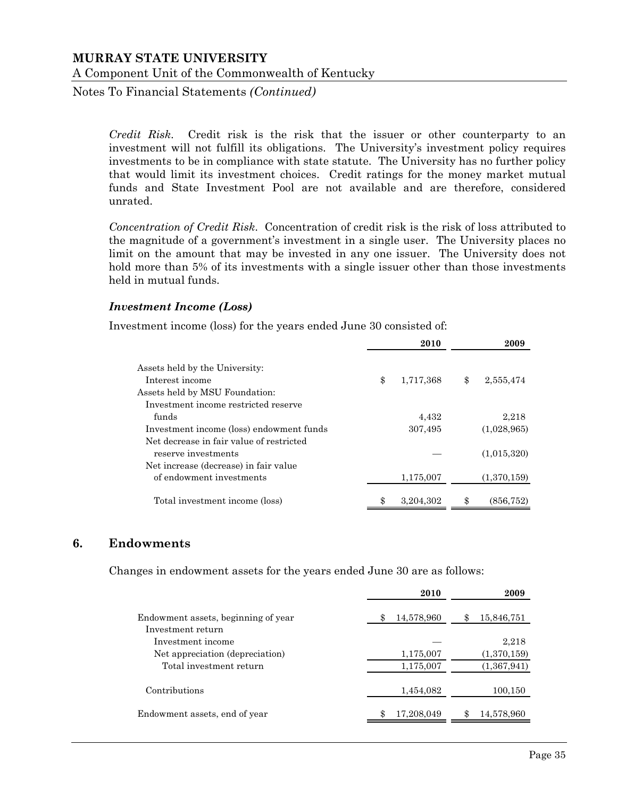Notes To Financial Statements *(Continued)*

*Credit Risk*. Credit risk is the risk that the issuer or other counterparty to an investment will not fulfill its obligations. The University's investment policy requires investments to be in compliance with state statute. The University has no further policy that would limit its investment choices. Credit ratings for the money market mutual funds and State Investment Pool are not available and are therefore, considered unrated.

*Concentration of Credit Risk*. Concentration of credit risk is the risk of loss attributed to the magnitude of a government's investment in a single user. The University places no limit on the amount that may be invested in any one issuer. The University does not hold more than 5% of its investments with a single issuer other than those investments held in mutual funds.

#### *Investment Income (Loss)*

Investment income (loss) for the years ended June 30 consisted of:

|                                                   | 2010            | 2009            |
|---------------------------------------------------|-----------------|-----------------|
| Assets held by the University:<br>Interest income | \$<br>1,717,368 | \$<br>2,555,474 |
| Assets held by MSU Foundation:                    |                 |                 |
| Investment income restricted reserve              |                 |                 |
| funds                                             | 4,432           | 2,218           |
| Investment income (loss) endowment funds          | 307,495         | (1,028,965)     |
| Net decrease in fair value of restricted          |                 |                 |
| reserve investments                               |                 | (1,015,320)     |
| Net increase (decrease) in fair value             |                 |                 |
| of endowment investments                          | 1,175,007       | (1,370,159)     |
| Total investment income (loss)                    | \$<br>3,204,302 | (856, 752)      |

#### **6. Endowments**

Changes in endowment assets for the years ended June 30 are as follows:

|                                                          | 2010       | 2009             |
|----------------------------------------------------------|------------|------------------|
| Endowment assets, beginning of year<br>Investment return | 14,578,960 | 15,846,751       |
| Investment income                                        |            | 2,218            |
| Net appreciation (depreciation)                          | 1,175,007  | (1,370,159)      |
| Total investment return                                  | 1,175,007  | (1,367,941)      |
| Contributions                                            | 1,454,082  | 100,150          |
| Endowment assets, end of year                            | 17,208,049 | \$<br>14,578,960 |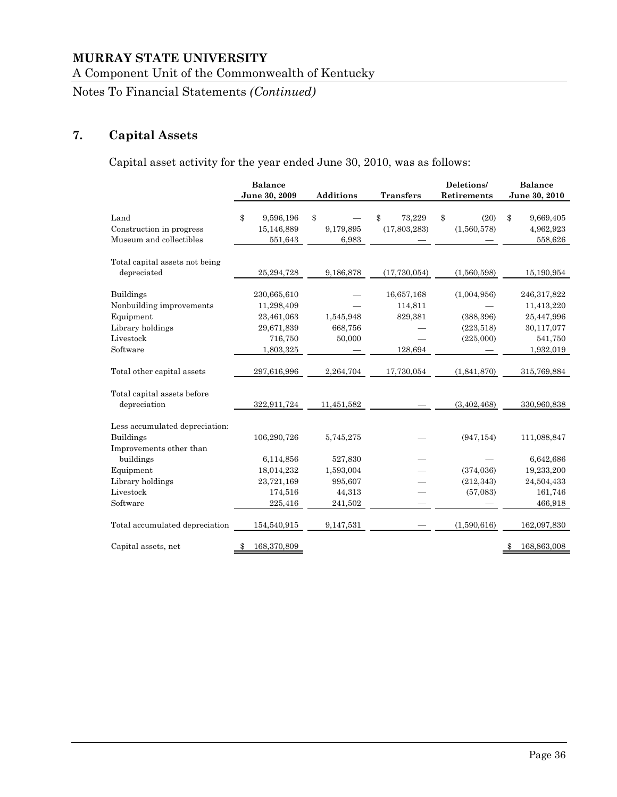A Component Unit of the Commonwealth of Kentucky

Notes To Financial Statements *(Continued)*

# **7. Capital Assets**

Capital asset activity for the year ended June 30, 2010, was as follows:

|                                                                                                        | <b>Balance</b><br>June 30, 2009                                               | <b>Additions</b>                                     | <b>Transfers</b>                            | Deletions/<br>Retirements                            | <b>Balance</b><br>June 30, 2010                                               |
|--------------------------------------------------------------------------------------------------------|-------------------------------------------------------------------------------|------------------------------------------------------|---------------------------------------------|------------------------------------------------------|-------------------------------------------------------------------------------|
| Land<br>Construction in progress<br>Museum and collectibles                                            | \$<br>9,596,196<br>15,146,889<br>551,643                                      | \$<br>9,179,895<br>6,983                             | \$<br>73,229<br>(17,803,283)                | \$<br>(20)<br>(1,560,578)                            | \$<br>9,669,405<br>4,962,923<br>558,626                                       |
| Total capital assets not being<br>depreciated                                                          | 25,294,728                                                                    | 9,186,878                                            | (17, 730, 054)                              | (1,560,598)                                          | 15,190,954                                                                    |
| <b>Buildings</b><br>Nonbuilding improvements<br>Equipment<br>Library holdings<br>Livestock<br>Software | 230,665,610<br>11,298,409<br>23,461,063<br>29,671,839<br>716,750<br>1,803,325 | 1,545,948<br>668,756<br>50,000                       | 16,657,168<br>114,811<br>829,381<br>128,694 | (1,004,956)<br>(388, 396)<br>(223, 518)<br>(225,000) | 246,317,822<br>11,413,220<br>25,447,996<br>30,117,077<br>541,750<br>1,932,019 |
| Total other capital assets                                                                             | 297,616,996                                                                   | 2,264,704                                            | 17,730,054                                  | (1,841,870)                                          | 315,769,884                                                                   |
| Total capital assets before<br>depreciation                                                            | 322,911,724                                                                   | 11,451,582                                           |                                             | (3, 402, 468)                                        | 330,960,838                                                                   |
| Less accumulated depreciation:<br><b>Buildings</b><br>Improvements other than                          | 106,290,726                                                                   | 5,745,275                                            |                                             | (947, 154)                                           | 111,088,847                                                                   |
| buildings<br>Equipment<br>Library holdings<br>Livestock<br>Software                                    | 6,114,856<br>18,014,232<br>23,721,169<br>174,516<br>225,416                   | 527,830<br>1,593,004<br>995,607<br>44,313<br>241,502 |                                             | (374, 036)<br>(212, 343)<br>(57,083)                 | 6,642,686<br>19,233,200<br>24,504,433<br>161,746<br>466,918                   |
| Total accumulated depreciation                                                                         | 154,540,915                                                                   | 9,147,531                                            |                                             | (1,590,616)                                          | 162,097,830                                                                   |
| Capital assets, net                                                                                    | 168,370,809                                                                   |                                                      |                                             |                                                      | 168,863,008<br>\$                                                             |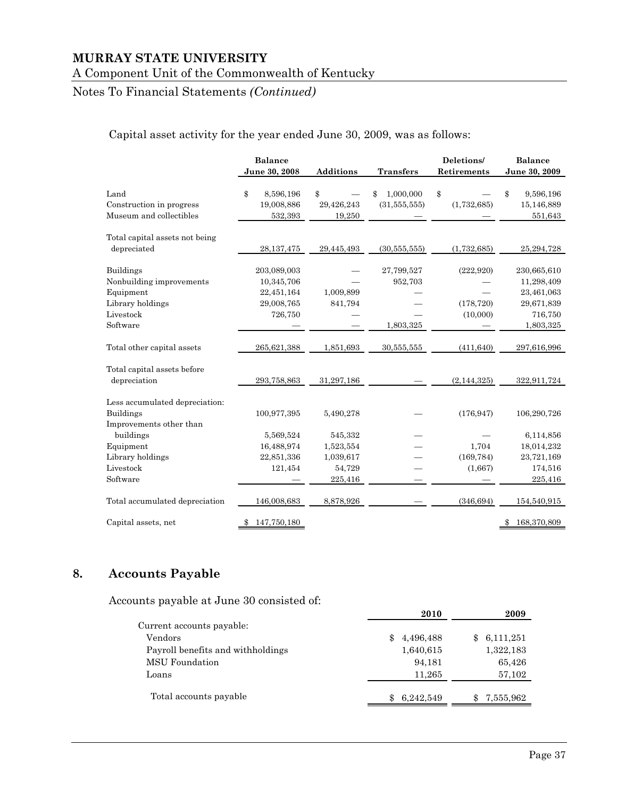#### A Component Unit of the Commonwealth of Kentucky

# Notes To Financial Statements *(Continued)*

# Capital asset activity for the year ended June 30, 2009, was as follows:

|                                                                                                        | <b>Balance</b><br>June 30, 2008                                  | <b>Additions</b>                            | <b>Transfers</b>                   | Deletions/<br>Retirements            | <b>Balance</b><br>June 30, 2009                                               |
|--------------------------------------------------------------------------------------------------------|------------------------------------------------------------------|---------------------------------------------|------------------------------------|--------------------------------------|-------------------------------------------------------------------------------|
| Land<br>Construction in progress<br>Museum and collectibles                                            | \$<br>8,596,196<br>19,008,886<br>532,393                         | \$<br>29,426,243<br>19,250                  | 1,000,000<br>(31, 555, 555)        | \$<br>(1,732,685)                    | \$<br>9,596,196<br>15,146,889<br>551,643                                      |
| Total capital assets not being<br>depreciated                                                          | 28, 137, 475                                                     | 29,445,493                                  | (30, 555, 555)                     | (1,732,685)                          | 25, 294, 728                                                                  |
| <b>Buildings</b><br>Nonbuilding improvements<br>Equipment<br>Library holdings<br>Livestock<br>Software | 203,089,003<br>10,345,706<br>22,451,164<br>29,008,765<br>726,750 | 1,009,899<br>841,794                        | 27,799,527<br>952,703<br>1,803,325 | (222, 920)<br>(178, 720)<br>(10,000) | 230,665,610<br>11,298,409<br>23,461,063<br>29,671,839<br>716,750<br>1,803,325 |
| Total other capital assets                                                                             | 265,621,388                                                      | 1,851,693                                   | 30,555,555                         | (411, 640)                           | 297,616,996                                                                   |
| Total capital assets before<br>depreciation                                                            | 293,758,863                                                      | 31,297,186                                  |                                    | (2, 144, 325)                        | 322,911,724                                                                   |
| Less accumulated depreciation:<br><b>Buildings</b><br>Improvements other than                          | 100,977,395                                                      | 5,490,278                                   |                                    | (176, 947)                           | 106,290,726                                                                   |
| buildings<br>Equipment<br>Library holdings<br>Livestock                                                | 5,569,524<br>16,488,974<br>22,851,336<br>121,454                 | 545,332<br>1,523,554<br>1,039,617<br>54,729 |                                    | 1,704<br>(169, 784)<br>(1,667)       | 6,114,856<br>18,014,232<br>23,721,169<br>174,516                              |
| Software                                                                                               |                                                                  | 225,416                                     |                                    |                                      | 225,416                                                                       |
| Total accumulated depreciation<br>Capital assets, net                                                  | 146,008,683<br>147,750,180<br>\$                                 | 8,878,926                                   |                                    | (346, 694)                           | 154,540,915<br>168,370,809<br>\$                                              |

# **8. Accounts Payable**

Accounts payable at June 30 consisted of:

|                                   | 2010             | 2009      |
|-----------------------------------|------------------|-----------|
| Current accounts payable:         |                  |           |
| Vendors                           | 4,496,488<br>\$  | 6,111,251 |
| Payroll benefits and withholdings | 1,640,615        | 1,322,183 |
| MSU Foundation                    | 94,181           | 65,426    |
| Loans                             | 11,265           | 57,102    |
|                                   |                  |           |
| Total accounts payable            | 6,242,549<br>\$. | 7,555,962 |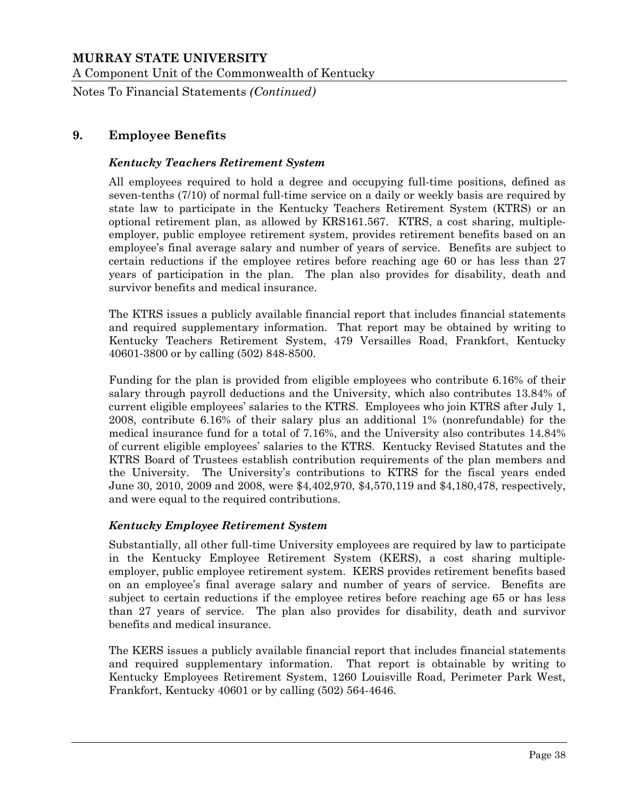A Component Unit of the Commonwealth of Kentucky

Notes To Financial Statements *(Continued)*

# **9. Employee Benefits**

#### *Kentucky Teachers Retirement System*

All employees required to hold a degree and occupying full-time positions, defined as seven-tenths (7/10) of normal full-time service on a daily or weekly basis are required by state law to participate in the Kentucky Teachers Retirement System (KTRS) or an optional retirement plan, as allowed by KRS161.567. KTRS, a cost sharing, multipleemployer, public employee retirement system, provides retirement benefits based on an employee's final average salary and number of years of service. Benefits are subject to certain reductions if the employee retires before reaching age 60 or has less than 27 years of participation in the plan. The plan also provides for disability, death and survivor benefits and medical insurance.

The KTRS issues a publicly available financial report that includes financial statements and required supplementary information. That report may be obtained by writing to Kentucky Teachers Retirement System, 479 Versailles Road, Frankfort, Kentucky 40601-3800 or by calling (502) 848-8500.

Funding for the plan is provided from eligible employees who contribute 6.16% of their salary through payroll deductions and the University, which also contributes 13.84% of current eligible employees' salaries to the KTRS. Employees who join KTRS after July 1, 2008, contribute 6.16% of their salary plus an additional 1% (nonrefundable) for the medical insurance fund for a total of 7.16%, and the University also contributes 14.84% of current eligible employees' salaries to the KTRS. Kentucky Revised Statutes and the KTRS Board of Trustees establish contribution requirements of the plan members and the University. The University's contributions to KTRS for the fiscal years ended June 30, 2010, 2009 and 2008, were \$4,402,970, \$4,570,119 and \$4,180,478, respectively, and were equal to the required contributions.

#### *Kentucky Employee Retirement System*

Substantially, all other full-time University employees are required by law to participate in the Kentucky Employee Retirement System (KERS), a cost sharing multipleemployer, public employee retirement system. KERS provides retirement benefits based on an employee's final average salary and number of years of service. Benefits are subject to certain reductions if the employee retires before reaching age 65 or has less than 27 years of service. The plan also provides for disability, death and survivor benefits and medical insurance.

The KERS issues a publicly available financial report that includes financial statements and required supplementary information. That report is obtainable by writing to Kentucky Employees Retirement System, 1260 Louisville Road, Perimeter Park West, Frankfort, Kentucky 40601 or by calling (502) 564-4646.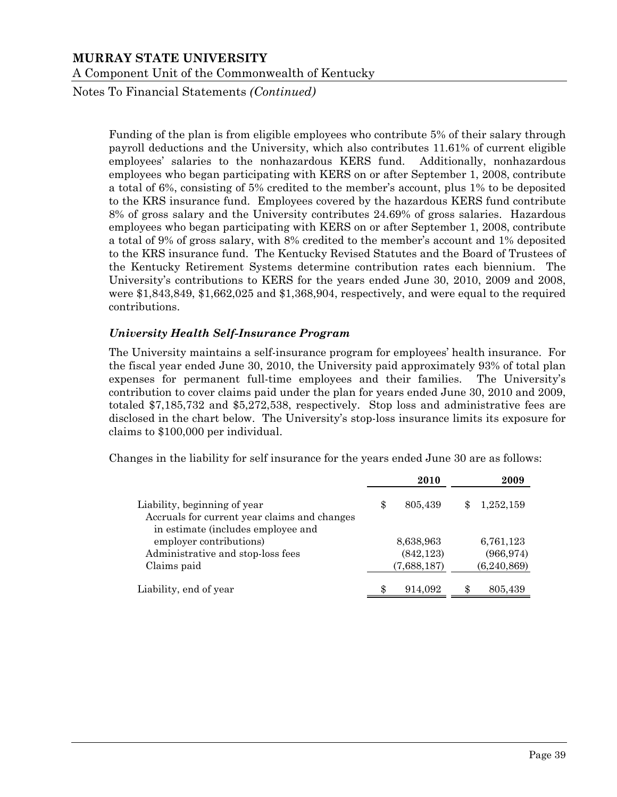Notes To Financial Statements *(Continued)*

Funding of the plan is from eligible employees who contribute 5% of their salary through payroll deductions and the University, which also contributes 11.61% of current eligible employees' salaries to the nonhazardous KERS fund. Additionally, nonhazardous employees who began participating with KERS on or after September 1, 2008, contribute a total of 6%, consisting of 5% credited to the member's account, plus 1% to be deposited to the KRS insurance fund. Employees covered by the hazardous KERS fund contribute 8% of gross salary and the University contributes 24.69% of gross salaries. Hazardous employees who began participating with KERS on or after September 1, 2008, contribute a total of 9% of gross salary, with 8% credited to the member's account and 1% deposited to the KRS insurance fund. The Kentucky Revised Statutes and the Board of Trustees of the Kentucky Retirement Systems determine contribution rates each biennium. The University's contributions to KERS for the years ended June 30, 2010, 2009 and 2008, were \$1,843,849, \$1,662,025 and \$1,368,904, respectively, and were equal to the required contributions.

#### *University Health Self-Insurance Program*

The University maintains a self-insurance program for employees' health insurance. For the fiscal year ended June 30, 2010, the University paid approximately 93% of total plan expenses for permanent full-time employees and their families. The University's contribution to cover claims paid under the plan for years ended June 30, 2010 and 2009, totaled \$7,185,732 and \$5,272,538, respectively. Stop loss and administrative fees are disclosed in the chart below. The University's stop-loss insurance limits its exposure for claims to \$100,000 per individual.

Changes in the liability for self insurance for the years ended June 30 are as follows:

|                                                                              | 2010          | 2009          |
|------------------------------------------------------------------------------|---------------|---------------|
| Liability, beginning of year<br>Accruals for current year claims and changes | \$<br>805,439 | 1,252,159     |
| in estimate (includes employee and                                           |               |               |
| employer contributions)                                                      | 8,638,963     | 6,761,123     |
| Administrative and stop-loss fees                                            | (842, 123)    | (966, 974)    |
| Claims paid                                                                  | (7,688,187)   | (6, 240, 869) |
| Liability, end of year                                                       | \$<br>914,092 | 805,439       |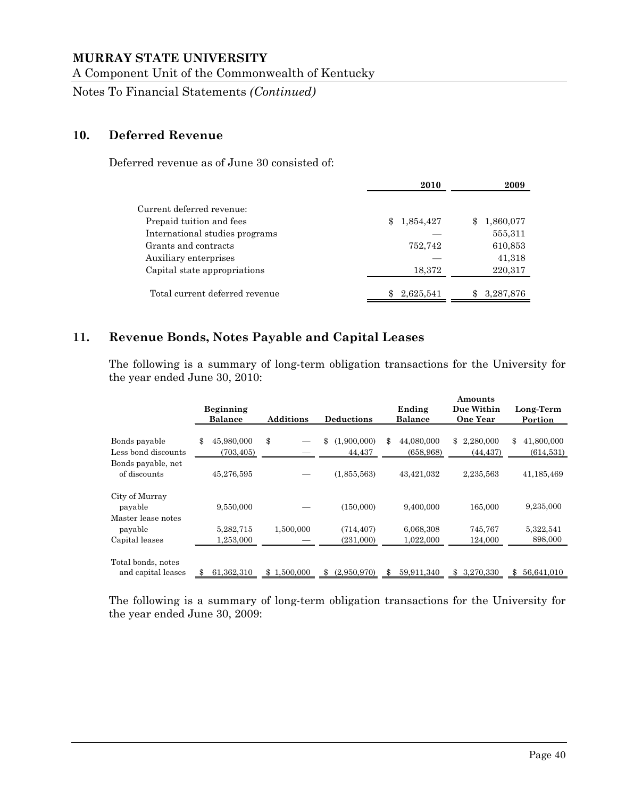A Component Unit of the Commonwealth of Kentucky

Notes To Financial Statements *(Continued)*

# **10. Deferred Revenue**

Deferred revenue as of June 30 consisted of:

|                                                       | 2010      | 2009              |
|-------------------------------------------------------|-----------|-------------------|
| Current deferred revenue:<br>Prepaid tuition and fees | 1,854,427 | 1,860,077         |
| International studies programs                        |           | 555,311           |
| Grants and contracts<br>Auxiliary enterprises         | 752,742   | 610,853<br>41,318 |
| Capital state appropriations                          | 18,372    | 220,317           |
| Total current deferred revenue                        | 2,625,541 | 3,287,876         |

## **11. Revenue Bonds, Notes Payable and Capital Leases**

The following is a summary of long-term obligation transactions for the University for the year ended June 30, 2010:

|                                                 | <b>Beginning</b><br><b>Balance</b> |     | <b>Additions</b> | <b>Deductions</b>           | Ending<br><b>Balance</b>       |              | Amounts<br>Due Within<br><b>One Year</b> | Long-Term<br>Portion           |
|-------------------------------------------------|------------------------------------|-----|------------------|-----------------------------|--------------------------------|--------------|------------------------------------------|--------------------------------|
| Bonds payable<br>Less bond discounts            | \$<br>45,980,000<br>(703, 405)     | \$  |                  | \$<br>(1,900,000)<br>44,437 | \$<br>44,080,000<br>(658, 968) | $\mathbb{S}$ | 2,280,000<br>(44, 437)                   | \$<br>41,800,000<br>(614, 531) |
| Bonds payable, net<br>of discounts              | 45,276,595                         |     |                  | (1,855,563)                 | 43,421,032                     |              | 2,235,563                                | 41,185,469                     |
| City of Murray<br>payable<br>Master lease notes | 9,550,000                          |     |                  | (150,000)                   | 9,400,000                      |              | 165,000                                  | 9,235,000                      |
| payable<br>Capital leases                       | 5,282,715<br>1,253,000             |     | 1,500,000        | (714, 407)<br>(231,000)     | 6,068,308<br>1,022,000         |              | 745,767<br>124,000                       | 5,322,541<br>898,000           |
| Total bonds, notes<br>and capital leases        | 61,362,310                         | \$. | 1,500,000        | \$<br>(2,950,970)           | \$<br>59,911,340               | \$           | 3,270,330                                | \$<br>56,641,010               |

The following is a summary of long-term obligation transactions for the University for the year ended June 30, 2009: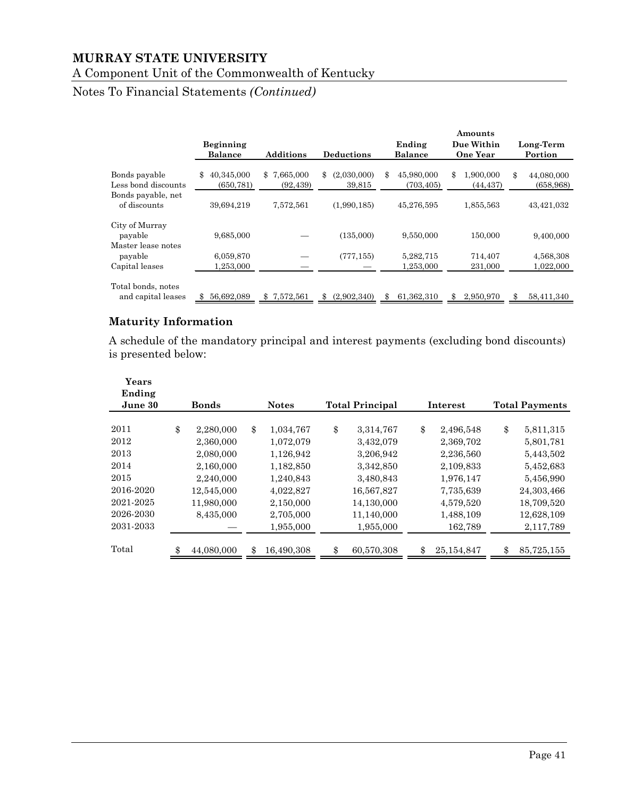# A Component Unit of the Commonwealth of Kentucky

# Notes To Financial Statements *(Continued)*

|                                                 |                                |                          |                             |                                | Amounts                      |                                |
|-------------------------------------------------|--------------------------------|--------------------------|-----------------------------|--------------------------------|------------------------------|--------------------------------|
|                                                 | <b>Beginning</b>               |                          |                             | Ending                         | Due Within                   | Long-Term                      |
|                                                 | <b>Balance</b>                 | <b>Additions</b>         | <b>Deductions</b>           | Balance                        | <b>One Year</b>              | Portion                        |
| Bonds payable<br>Less bond discounts            | 40.345,000<br>\$<br>(650, 781) | \$7,665,000<br>(92, 439) | (2,030,000)<br>\$<br>39,815 | 45,980,000<br>\$<br>(703, 405) | \$<br>1,900,000<br>(44, 437) | \$<br>44,080,000<br>(658, 968) |
| Bonds payable, net<br>of discounts              | 39,694,219                     | 7,572,561                | (1,990,185)                 | 45,276,595                     | 1,855,563                    | 43,421,032                     |
| City of Murray<br>payable<br>Master lease notes | 9,685,000                      |                          | (135,000)                   | 9,550,000                      | 150,000                      | 9,400,000                      |
| payable                                         | 6,059,870                      |                          | (777, 155)                  | 5,282,715                      | 714,407                      | 4,568,308                      |
| Capital leases                                  | 1,253,000                      |                          |                             | 1,253,000                      | 231,000                      | 1,022,000                      |
| Total bonds, notes<br>and capital leases        | 56,692,089                     | 7,572,561<br>\$          | (2,902,340)<br>\$           | 61,362,310<br>\$               | 2,950,970<br>\$.             | 58,411,340<br>ዳ                |

# **Maturity Information**

A schedule of the mandatory principal and interest payments (excluding bond discounts) is presented below:

| Years<br>Ending<br>June 30 | <b>Bonds</b>    | <b>Notes</b>    | <b>Total Principal</b> |    | Interest   | <b>Total Payments</b> |
|----------------------------|-----------------|-----------------|------------------------|----|------------|-----------------------|
|                            |                 |                 |                        |    |            |                       |
| 2011                       | \$<br>2,280,000 | \$<br>1,034,767 | \$<br>3,314,767        | \$ | 2,496,548  | \$<br>5,811,315       |
| 2012                       | 2,360,000       | 1,072,079       | 3,432,079              |    | 2,369,702  | 5,801,781             |
| 2013                       | 2,080,000       | 1,126,942       | 3,206,942              |    | 2,236,560  | 5,443,502             |
| 2014                       | 2,160,000       | 1,182,850       | 3,342,850              |    | 2,109,833  | 5,452,683             |
| 2015                       | 2,240,000       | 1,240,843       | 3,480,843              |    | 1,976,147  | 5,456,990             |
| 2016-2020                  | 12,545,000      | 4,022,827       | 16,567,827             |    | 7,735,639  | 24,303,466            |
| 2021-2025                  | 11,980,000      | 2,150,000       | 14,130,000             |    | 4,579,520  | 18,709,520            |
| 2026-2030                  | 8,435,000       | 2,705,000       | 11,140,000             |    | 1,488,109  | 12,628,109            |
| 2031-2033                  |                 | 1,955,000       | 1,955,000              |    | 162,789    | 2,117,789             |
| Total                      | 44,080,000      | 16,490,308      | \$<br>60,570,308       | ድ  | 25,154,847 | \$<br>85,725,155      |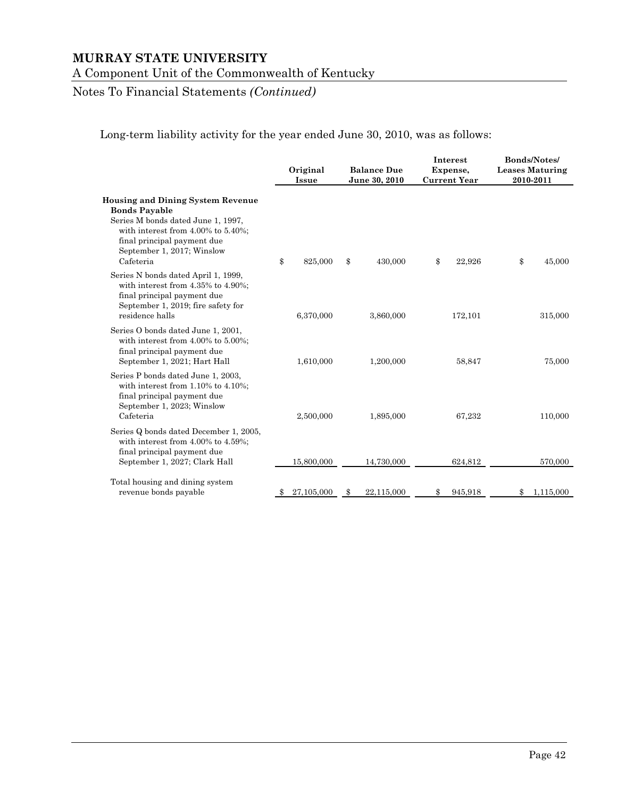A Component Unit of the Commonwealth of Kentucky

# Notes To Financial Statements *(Continued)*

Long-term liability activity for the year ended June 30, 2010, was as follows:

|                                                                                                                                                                                                                               |      | Original<br><b>Issue</b> |    |            |               | <b>Balance Due</b><br>June 30, 2010 |           | Interest<br>Expense,<br><b>Current Year</b> | <b>Bonds/Notes/</b><br><b>Leases Maturing</b><br>2010-2011 |  |  |
|-------------------------------------------------------------------------------------------------------------------------------------------------------------------------------------------------------------------------------|------|--------------------------|----|------------|---------------|-------------------------------------|-----------|---------------------------------------------|------------------------------------------------------------|--|--|
| <b>Housing and Dining System Revenue</b><br><b>Bonds Payable</b><br>Series M bonds dated June 1, 1997,<br>with interest from $4.00\%$ to $5.40\%$ ;<br>final principal payment due<br>September 1, 2017; Winslow<br>Cafeteria | \$   | 825,000                  | \$ | 430,000    | \$<br>22,926  | \$                                  | 45,000    |                                             |                                                            |  |  |
| Series N bonds dated April 1, 1999,<br>with interest from 4.35% to 4.90%;<br>final principal payment due<br>September 1, 2019; fire safety for<br>residence halls                                                             |      | 6,370,000                |    | 3,860,000  | 172,101       |                                     | 315,000   |                                             |                                                            |  |  |
| Series O bonds dated June 1, 2001,<br>with interest from $4.00\%$ to $5.00\%$ ;<br>final principal payment due<br>September 1, 2021; Hart Hall                                                                                |      | 1,610,000                |    | 1,200,000  | 58,847        |                                     | 75,000    |                                             |                                                            |  |  |
| Series P bonds dated June 1, 2003,<br>with interest from $1.10\%$ to $4.10\%$ ;<br>final principal payment due<br>September 1, 2023; Winslow<br>Cafeteria                                                                     |      | 2,500,000                |    | 1,895,000  | 67,232        |                                     | 110,000   |                                             |                                                            |  |  |
| Series Q bonds dated December 1, 2005,<br>with interest from $4.00\%$ to $4.59\%$ ;<br>final principal payment due<br>September 1, 2027; Clark Hall                                                                           |      | 15,800,000               |    | 14,730,000 | 624,812       |                                     | 570,000   |                                             |                                                            |  |  |
| Total housing and dining system<br>revenue bonds payable                                                                                                                                                                      | - 55 | 27,105,000               | S  | 22,115,000 | \$<br>945,918 | \$                                  | 1,115,000 |                                             |                                                            |  |  |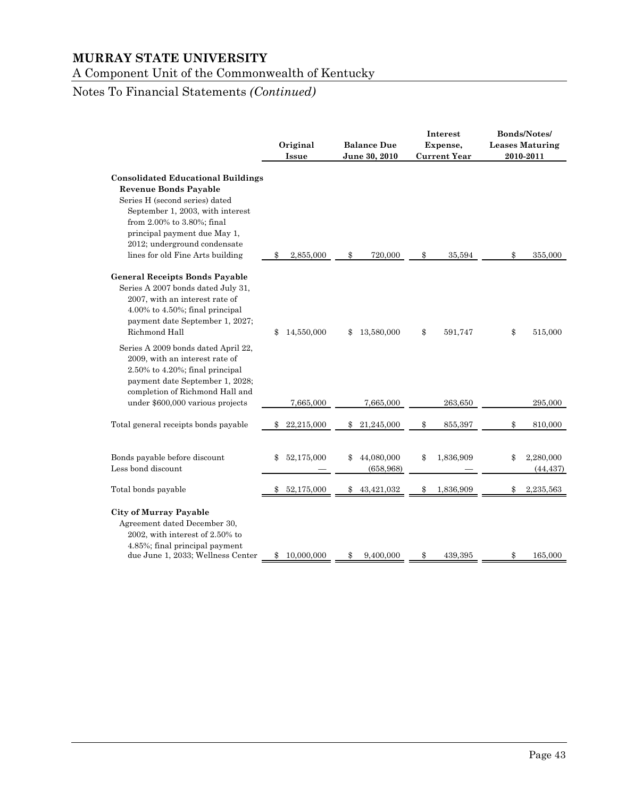A Component Unit of the Commonwealth of Kentucky

# Notes To Financial Statements *(Continued)*

| Original<br><b>Issue</b> | <b>Balance Due</b><br>June 30, 2010       | Interest<br>Expense,<br><b>Current Year</b> | Bonds/Notes/<br><b>Leases Maturing</b><br>2010-2011 |
|--------------------------|-------------------------------------------|---------------------------------------------|-----------------------------------------------------|
| 2,855,000                | 720,000                                   | 35,594                                      | 355,000                                             |
| \$                       | \$                                        | \$                                          | \$                                                  |
| 14,550,000               | 13,580,000                                | \$                                          | 515,000                                             |
| \$                       | \$                                        | 591,747                                     | \$                                                  |
| 7,665,000                | 7,665,000                                 | 263,650                                     | 295,000                                             |
| 22,215,000               | 21,245,000                                | \$                                          | \$                                                  |
| \$                       | \$                                        | 855,397                                     | 810,000                                             |
| 52,175,000<br>\$         | 44,080,000<br>\$<br>(658, 968)            | 1,836,909<br>\$                             | 2,280,000<br>\$<br>(44, 437)                        |
| 52,175,000               | 43,421,032                                | 1,836,909                                   | 2,235,563                                           |
| \$                       | \$                                        | \$                                          | \$                                                  |
| 10,000,000               | 9,400,000                                 | 439,395                                     | 165,000                                             |
| \$                       | \$                                        | \$                                          | \$                                                  |
|                          | <b>Consolidated Educational Buildings</b> |                                             |                                                     |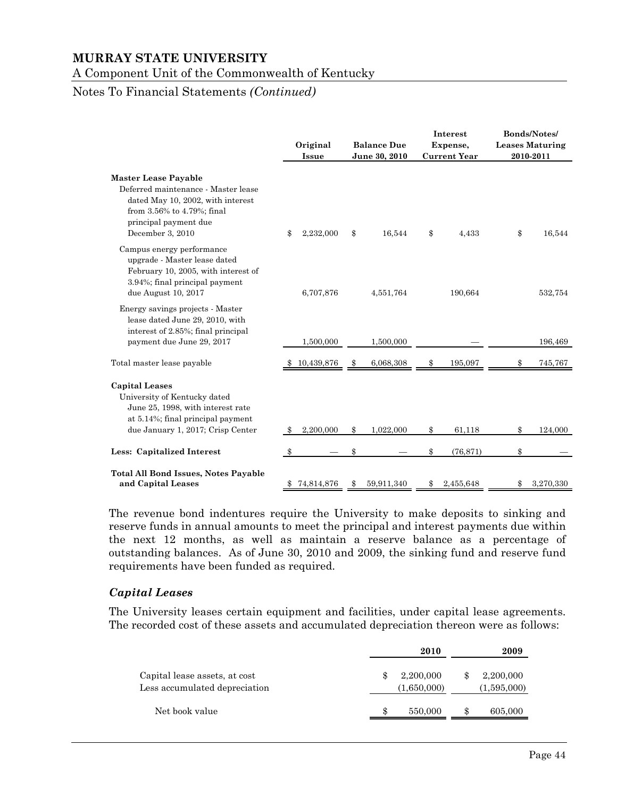A Component Unit of the Commonwealth of Kentucky

#### Notes To Financial Statements *(Continued)*

|                                                                                                                                                                                    | Original<br>Issue |    | <b>Balance Due</b><br>June 30, 2010 |               |           |                 |  |  |  |  | Interest<br>Expense,<br><b>Current Year</b> | Bonds/Notes/<br><b>Leases Maturing</b><br>2010-2011 |
|------------------------------------------------------------------------------------------------------------------------------------------------------------------------------------|-------------------|----|-------------------------------------|---------------|-----------|-----------------|--|--|--|--|---------------------------------------------|-----------------------------------------------------|
| <b>Master Lease Payable</b><br>Deferred maintenance - Master lease<br>dated May 10, 2002, with interest<br>from 3.56% to 4.79%; final<br>principal payment due<br>December 3, 2010 | 2,232,000<br>\$   | \$ | 16,544                              | \$            | 4,433     | \$<br>16,544    |  |  |  |  |                                             |                                                     |
| Campus energy performance<br>upgrade - Master lease dated<br>February 10, 2005, with interest of<br>3.94%; final principal payment<br>due August 10, 2017                          | 6,707,876         |    | 4,551,764                           |               | 190,664   | 532,754         |  |  |  |  |                                             |                                                     |
| Energy savings projects - Master<br>lease dated June 29, 2010, with<br>interest of 2.85%; final principal<br>payment due June 29, 2017                                             | 1,500,000         |    | 1,500,000                           |               |           | 196,469         |  |  |  |  |                                             |                                                     |
| Total master lease payable                                                                                                                                                         | 10,439,876        |    | 6,068,308                           | \$.           | 195,097   | 745,767         |  |  |  |  |                                             |                                                     |
| <b>Capital Leases</b><br>University of Kentucky dated<br>June 25, 1998, with interest rate<br>at 5.14%; final principal payment<br>due January 1, 2017; Crisp Center               | 2,200,000         | \$ | 1,022,000                           | \$            | 61,118    | \$<br>124,000   |  |  |  |  |                                             |                                                     |
| Less: Capitalized Interest                                                                                                                                                         | -\$               | \$ |                                     | \$            | (76, 871) | \$              |  |  |  |  |                                             |                                                     |
| <b>Total All Bond Issues, Notes Payable</b><br>and Capital Leases                                                                                                                  | \$74,814,876      | \$ | 59,911,340                          | $\mathbf{\$}$ | 2,455,648 | \$<br>3,270,330 |  |  |  |  |                                             |                                                     |

The revenue bond indentures require the University to make deposits to sinking and reserve funds in annual amounts to meet the principal and interest payments due within the next 12 months, as well as maintain a reserve balance as a percentage of outstanding balances. As of June 30, 2010 and 2009, the sinking fund and reserve fund requirements have been funded as required.

#### *Capital Leases*

The University leases certain equipment and facilities, under capital lease agreements. The recorded cost of these assets and accumulated depreciation thereon were as follows:

|                                                                |    | 2010                     |    | 2009                     |
|----------------------------------------------------------------|----|--------------------------|----|--------------------------|
| Capital lease assets, at cost<br>Less accumulated depreciation | \$ | 2,200,000<br>(1,650,000) | \$ | 2,200,000<br>(1,595,000) |
| Net book value                                                 | S  | 550,000                  | Ъ  | 605,000                  |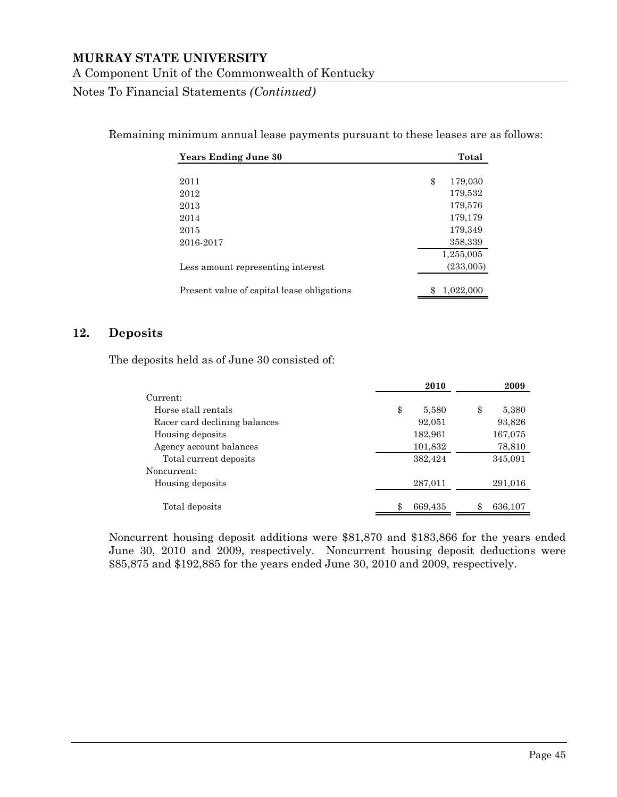Notes To Financial Statements *(Continued)*

Remaining minimum annual lease payments pursuant to these leases are as follows:

| <b>Years Ending June 30</b>                | Total         |
|--------------------------------------------|---------------|
|                                            |               |
| 2011                                       | \$<br>179,030 |
| 2012                                       | 179,532       |
| 2013                                       | 179,576       |
| 2014                                       | 179,179       |
| 2015                                       | 179,349       |
| 2016-2017                                  | 358,339       |
|                                            | 1,255,005     |
| Less amount representing interest          | (233,005)     |
| Present value of capital lease obligations | 1,022,000     |

#### **12. Deposits**

The deposits held as of June 30 consisted of:

|                               | 2010        | 2009        |
|-------------------------------|-------------|-------------|
| Current:                      |             |             |
| Horse stall rentals           | \$<br>5,580 | \$<br>5,380 |
| Racer card declining balances | 92,051      | 93,826      |
| Housing deposits              | 182,961     | 167,075     |
| Agency account balances       | 101,832     | 78,810      |
| Total current deposits        | 382,424     | 345,091     |
| Noncurrent:                   |             |             |
| Housing deposits              | 287,011     | 291,016     |
|                               |             |             |
| Total deposits                | 669,435     | 636,107     |

Noncurrent housing deposit additions were \$81,870 and \$183,866 for the years ended June 30, 2010 and 2009, respectively. Noncurrent housing deposit deductions were \$85,875 and \$192,885 for the years ended June 30, 2010 and 2009, respectively.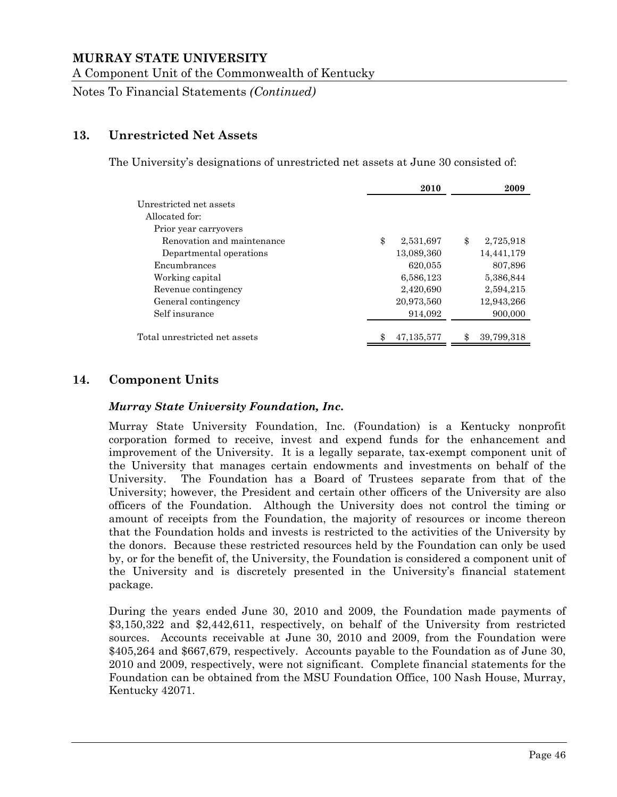A Component Unit of the Commonwealth of Kentucky

Notes To Financial Statements *(Continued)*

#### **13. Unrestricted Net Assets**

The University's designations of unrestricted net assets at June 30 consisted of:

|                               | 2010            | 2009             |
|-------------------------------|-----------------|------------------|
| Unrestricted net assets       |                 |                  |
| Allocated for:                |                 |                  |
| Prior year carryovers         |                 |                  |
| Renovation and maintenance    | \$<br>2,531,697 | \$<br>2,725,918  |
| Departmental operations       | 13,089,360      | 14,441,179       |
| Encumbrances                  | 620,055         | 807,896          |
| Working capital               | 6,586,123       | 5,386,844        |
| Revenue contingency           | 2,420,690       | 2,594,215        |
| General contingency           | 20,973,560      | 12,943,266       |
| Self insurance                | 914,092         | 900,000          |
| Total unrestricted net assets | 47,135,577      | 39,799,318<br>\$ |

## **14. Component Units**

#### *Murray State University Foundation, Inc.*

Murray State University Foundation, Inc. (Foundation) is a Kentucky nonprofit corporation formed to receive, invest and expend funds for the enhancement and improvement of the University. It is a legally separate, tax-exempt component unit of the University that manages certain endowments and investments on behalf of the University. The Foundation has a Board of Trustees separate from that of the University; however, the President and certain other officers of the University are also officers of the Foundation. Although the University does not control the timing or amount of receipts from the Foundation, the majority of resources or income thereon that the Foundation holds and invests is restricted to the activities of the University by the donors. Because these restricted resources held by the Foundation can only be used by, or for the benefit of, the University, the Foundation is considered a component unit of the University and is discretely presented in the University's financial statement package.

During the years ended June 30, 2010 and 2009, the Foundation made payments of \$3,150,322 and \$2,442,611, respectively, on behalf of the University from restricted sources. Accounts receivable at June 30, 2010 and 2009, from the Foundation were \$405,264 and \$667,679, respectively. Accounts payable to the Foundation as of June 30, 2010 and 2009, respectively, were not significant. Complete financial statements for the Foundation can be obtained from the MSU Foundation Office, 100 Nash House, Murray, Kentucky 42071.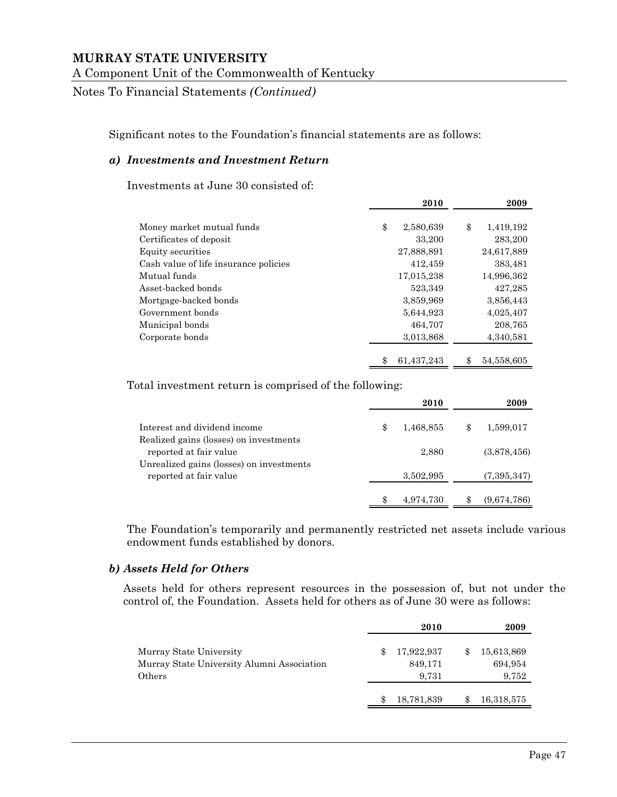Notes To Financial Statements *(Continued)*

Significant notes to the Foundation's financial statements are as follows:

#### *a) Investments and Investment Return*

Investments at June 30 consisted of:

|                                       | 2010             | 2009             |
|---------------------------------------|------------------|------------------|
| Money market mutual funds             | \$<br>2,580,639  | \$<br>1,419,192  |
| Certificates of deposit               | 33,200           | 283,200          |
| Equity securities                     | 27,888,891       | 24,617,889       |
| Cash value of life insurance policies | 412,459          | 383,481          |
| Mutual funds                          | 17,015,238       | 14,996,362       |
| Asset-backed bonds                    | 523,349          | 427,285          |
| Mortgage-backed bonds                 | 3,859,969        | 3,856,443        |
| Government bonds                      | 5,644,923        | 4,025,407        |
| Municipal bonds                       | 464,707          | 208,765          |
| Corporate bonds                       | 3,013,868        | 4,340,581        |
|                                       | 61,437,243<br>\$ | 54,558,605<br>\$ |

Total investment return is comprised of the following:

|                                                                    |   | 2010      | 2009            |
|--------------------------------------------------------------------|---|-----------|-----------------|
| Interest and dividend income                                       | S | 1,468,855 | \$<br>1,599,017 |
| Realized gains (losses) on investments<br>reported at fair value   |   | 2,880     | (3,878,456)     |
| Unrealized gains (losses) on investments<br>reported at fair value |   | 3,502,995 | (7,395,347)     |
|                                                                    |   | 4,974,730 | (9,674,786)     |

The Foundation's temporarily and permanently restricted net assets include various endowment funds established by donors.

#### *b) Assets Held for Others*

Assets held for others represent resources in the possession of, but not under the control of, the Foundation. Assets held for others as of June 30 were as follows:

|                                                                                 |   | 2010                           | 2009                                 |
|---------------------------------------------------------------------------------|---|--------------------------------|--------------------------------------|
| Murray State University<br>Murray State University Alumni Association<br>Others | Я | 17,922,937<br>849,171<br>9.731 | \$<br>15,613,869<br>694,954<br>9,752 |
|                                                                                 |   | 18,781,839                     | 16,318,575                           |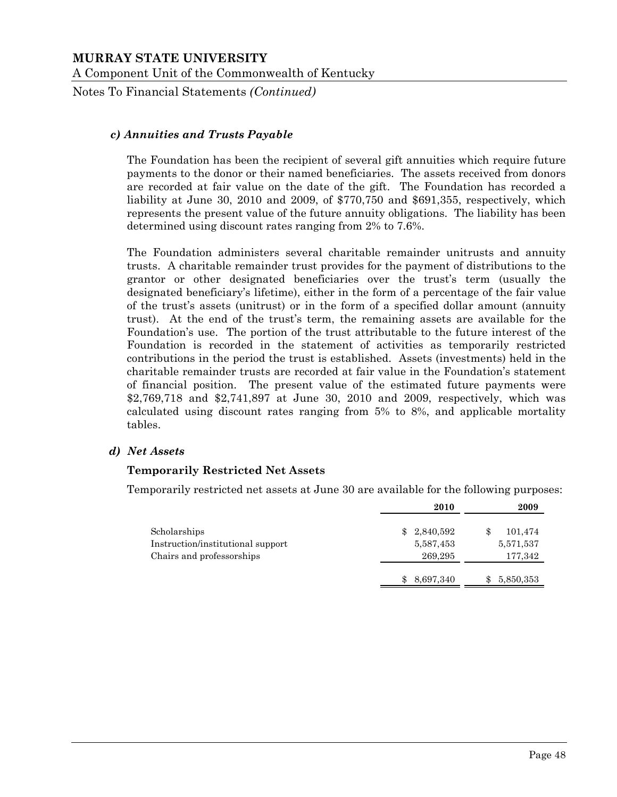Notes To Financial Statements *(Continued)*

#### *c) Annuities and Trusts Payable*

The Foundation has been the recipient of several gift annuities which require future payments to the donor or their named beneficiaries. The assets received from donors are recorded at fair value on the date of the gift. The Foundation has recorded a liability at June 30, 2010 and 2009, of \$770,750 and \$691,355, respectively, which represents the present value of the future annuity obligations. The liability has been determined using discount rates ranging from 2% to 7.6%.

The Foundation administers several charitable remainder unitrusts and annuity trusts. A charitable remainder trust provides for the payment of distributions to the grantor or other designated beneficiaries over the trust's term (usually the designated beneficiary's lifetime), either in the form of a percentage of the fair value of the trust's assets (unitrust) or in the form of a specified dollar amount (annuity trust). At the end of the trust's term, the remaining assets are available for the Foundation's use. The portion of the trust attributable to the future interest of the Foundation is recorded in the statement of activities as temporarily restricted contributions in the period the trust is established. Assets (investments) held in the charitable remainder trusts are recorded at fair value in the Foundation's statement of financial position. The present value of the estimated future payments were \$2,769,718 and \$2,741,897 at June 30, 2010 and 2009, respectively, which was calculated using discount rates ranging from 5% to 8%, and applicable mortality tables.

#### *d) Net Assets*

#### **Temporarily Restricted Net Assets**

Temporarily restricted net assets at June 30 are available for the following purposes:

|                                   |     | 2010      | 2009      |
|-----------------------------------|-----|-----------|-----------|
| Scholarships                      | \$. | 2,840,592 | 101,474   |
| Instruction/institutional support |     | 5,587,453 | 5,571,537 |
| Chairs and professorships         |     | 269,295   | 177,342   |
|                                   |     | 8,697,340 | 5,850,353 |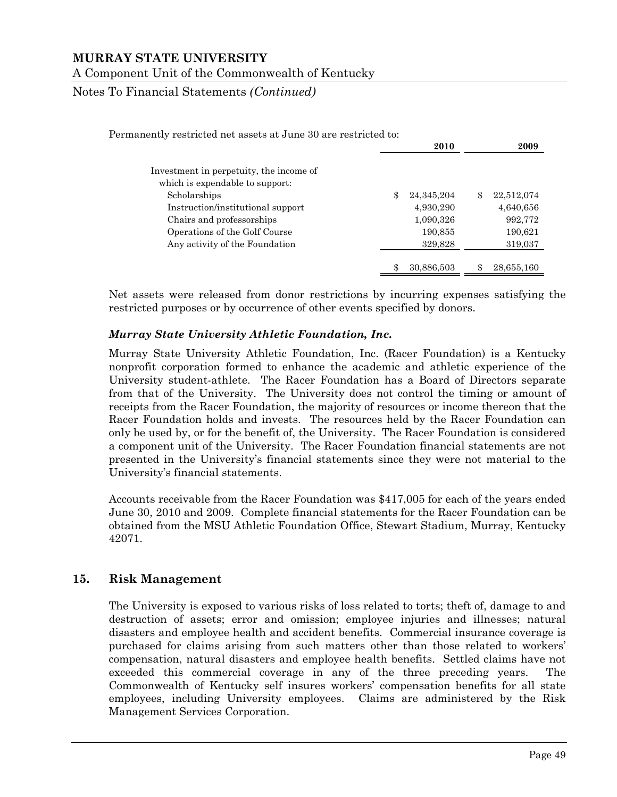Notes To Financial Statements *(Continued)*

| Permanently restricted net assets at June 30 are restricted to: |                    |                  |
|-----------------------------------------------------------------|--------------------|------------------|
|                                                                 | 2010               | 2009             |
| Investment in perpetuity, the income of                         |                    |                  |
| which is expendable to support:                                 |                    |                  |
| Scholarships                                                    | \$<br>24, 345, 204 | \$<br>22,512,074 |
| Instruction/institutional support                               | 4,930,290          | 4,640,656        |
| Chairs and professorships                                       | 1,090,326          | 992,772          |
| Operations of the Golf Course                                   | 190,855            | 190,621          |
| Any activity of the Foundation                                  | 329,828            | 319,037          |
|                                                                 |                    |                  |
|                                                                 | 30,886,503         | 28,655,160       |

Net assets were released from donor restrictions by incurring expenses satisfying the restricted purposes or by occurrence of other events specified by donors.

#### *Murray State University Athletic Foundation, Inc.*

Murray State University Athletic Foundation, Inc. (Racer Foundation) is a Kentucky nonprofit corporation formed to enhance the academic and athletic experience of the University student-athlete. The Racer Foundation has a Board of Directors separate from that of the University. The University does not control the timing or amount of receipts from the Racer Foundation, the majority of resources or income thereon that the Racer Foundation holds and invests. The resources held by the Racer Foundation can only be used by, or for the benefit of, the University. The Racer Foundation is considered a component unit of the University. The Racer Foundation financial statements are not presented in the University's financial statements since they were not material to the University's financial statements.

Accounts receivable from the Racer Foundation was \$417,005 for each of the years ended June 30, 2010 and 2009. Complete financial statements for the Racer Foundation can be obtained from the MSU Athletic Foundation Office, Stewart Stadium, Murray, Kentucky 42071.

#### **15. Risk Management**

The University is exposed to various risks of loss related to torts; theft of, damage to and destruction of assets; error and omission; employee injuries and illnesses; natural disasters and employee health and accident benefits. Commercial insurance coverage is purchased for claims arising from such matters other than those related to workers' compensation, natural disasters and employee health benefits. Settled claims have not exceeded this commercial coverage in any of the three preceding years. The Commonwealth of Kentucky self insures workers' compensation benefits for all state employees, including University employees. Claims are administered by the Risk Management Services Corporation.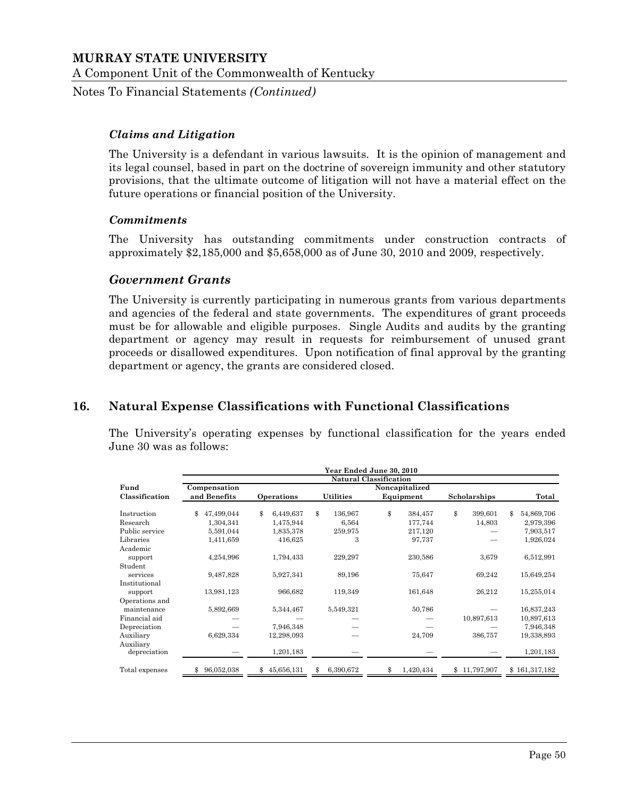Notes To Financial Statements *(Continued)*

#### *Claims and Litigation*

The University is a defendant in various lawsuits. It is the opinion of management and its legal counsel, based in part on the doctrine of sovereign immunity and other statutory provisions, that the ultimate outcome of litigation will not have a material effect on the future operations or financial position of the University.

#### *Commitments*

The University has outstanding commitments under construction contracts of approximately \$2,185,000 and \$5,658,000 as of June 30, 2010 and 2009, respectively.

#### *Government Grants*

The University is currently participating in numerous grants from various departments and agencies of the federal and state governments. The expenditures of grant proceeds must be for allowable and eligible purposes. Single Audits and audits by the granting department or agency may result in requests for reimbursement of unused grant proceeds or disallowed expenditures. Upon notification of final approval by the granting department or agency, the grants are considered closed.

# **16. Natural Expense Classifications with Functional Classifications**

The University's operating expenses by functional classification for the years ended June 30 was as follows:

|                |                                |                  |                  | Year Ended June 30, 2010 |               |                  |  |  |  |  |
|----------------|--------------------------------|------------------|------------------|--------------------------|---------------|------------------|--|--|--|--|
|                | <b>Natural Classification</b>  |                  |                  |                          |               |                  |  |  |  |  |
| Fund           | Noncapitalized<br>Compensation |                  |                  |                          |               |                  |  |  |  |  |
| Classification | and Benefits                   | Operations       | <b>Utilities</b> | Equipment                | Scholarships  | Total            |  |  |  |  |
| Instruction    | 47,499,044<br>\$               | \$<br>6,449,637  | \$<br>136,967    | \$<br>384,457            | \$<br>399,601 | \$<br>54,869,706 |  |  |  |  |
| Research       | 1,304,341                      | 1,475,944        | 6,564            | 177,744                  | 14,803        | 2,979,396        |  |  |  |  |
| Public service | 5,591,044                      | 1,835,378        | 259,975          | 217,120                  |               | 7,903,517        |  |  |  |  |
| Libraries      | 1,411,659                      | 416,625          | 3                | 97,737                   |               | 1,926,024        |  |  |  |  |
| Academic       |                                |                  |                  |                          |               |                  |  |  |  |  |
| support        | 4,254,996                      | 1,794,433        | 229,297          | 230,586                  | 3,679         | 6,512,991        |  |  |  |  |
| Student        |                                |                  |                  |                          |               |                  |  |  |  |  |
| services       | 9,487,828                      | 5,927,341        | 89,196           | 75,647                   | 69,242        | 15,649,254       |  |  |  |  |
| Institutional  |                                |                  |                  |                          |               |                  |  |  |  |  |
| support        | 13,981,123                     | 966,682          | 119,349          | 161,648                  | 26,212        | 15,255,014       |  |  |  |  |
| Operations and |                                |                  |                  |                          |               |                  |  |  |  |  |
| maintenance    | 5,892,669                      | 5,344,467        | 5,549,321        | 50,786                   |               | 16,837,243       |  |  |  |  |
| Financial aid  |                                |                  |                  |                          | 10,897,613    | 10,897,613       |  |  |  |  |
| Depreciation   |                                | 7,946,348        |                  |                          |               | 7,946,348        |  |  |  |  |
| Auxiliary      | 6,629,334                      | 12,298,093       |                  | 24,709                   | 386,757       | 19,338,893       |  |  |  |  |
| Auxiliary      |                                |                  |                  |                          |               |                  |  |  |  |  |
| depreciation   |                                | 1,201,183        |                  |                          |               | 1,201,183        |  |  |  |  |
| Total expenses | 96,052,038                     | 45,656,131<br>\$ | 6,390,672<br>\$  | 1,420,434<br>\$          | \$11,797,907  | \$161,317,182    |  |  |  |  |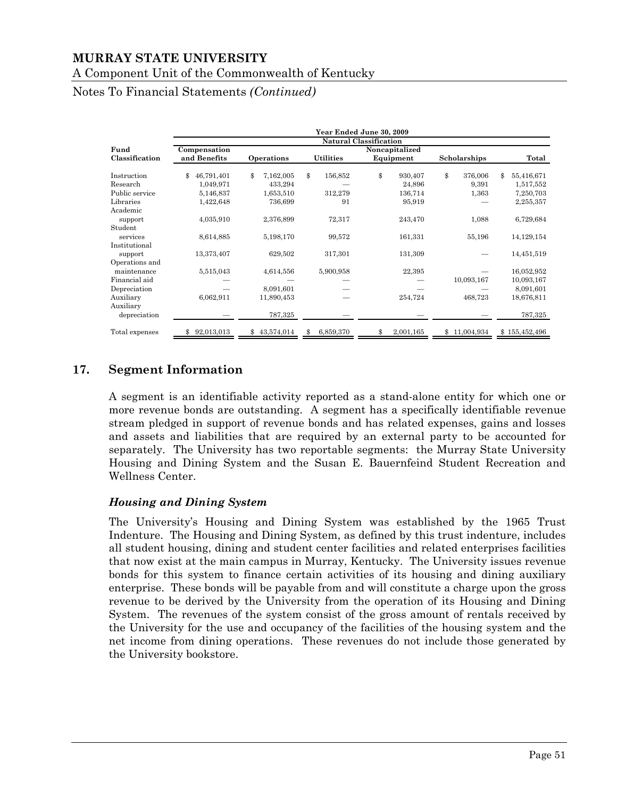Notes To Financial Statements *(Continued)*

|                |                                |                  |                  | Year Ended June 30, 2009 |                  |                  |  |  |  |  |
|----------------|--------------------------------|------------------|------------------|--------------------------|------------------|------------------|--|--|--|--|
|                | <b>Natural Classification</b>  |                  |                  |                          |                  |                  |  |  |  |  |
| Fund           | Noncapitalized<br>Compensation |                  |                  |                          |                  |                  |  |  |  |  |
| Classification | and Benefits                   | Operations       | <b>Utilities</b> | Equipment                | Scholarships     | Total            |  |  |  |  |
| Instruction    | 46,791,401<br>\$               | 7,162,005<br>\$  | \$<br>156,852    | \$<br>930,407            | \$<br>376,006    | \$<br>55,416,671 |  |  |  |  |
| Research       | 1,049,971                      | 433,294          |                  | 24,896                   | 9,391            | 1,517,552        |  |  |  |  |
| Public service | 5,146,837                      | 1,653,510        | 312,279          | 136,714                  | 1,363            | 7,250,703        |  |  |  |  |
| Libraries      | 1,422,648                      | 736,699          | 91               | 95,919                   |                  | 2,255,357        |  |  |  |  |
| Academic       |                                |                  |                  |                          |                  |                  |  |  |  |  |
| support        | 4,035,910                      | 2,376,899        | 72,317           | 243,470                  | 1,088            | 6,729,684        |  |  |  |  |
| Student        |                                |                  |                  |                          |                  |                  |  |  |  |  |
| services       | 8,614,885                      | 5,198,170        | 99,572           | 161,331                  | 55,196           | 14,129,154       |  |  |  |  |
| Institutional  |                                |                  |                  |                          |                  |                  |  |  |  |  |
| support        | 13,373,407                     | 629,502          | 317,301          | 131,309                  |                  | 14,451,519       |  |  |  |  |
| Operations and |                                |                  |                  |                          |                  |                  |  |  |  |  |
| maintenance    | 5,515,043                      | 4,614,556        | 5,900,958        | 22,395                   |                  | 16,052,952       |  |  |  |  |
| Financial aid  |                                |                  |                  |                          | 10,093,167       | 10,093,167       |  |  |  |  |
| Depreciation   |                                | 8,091,601        |                  |                          |                  | 8,091,601        |  |  |  |  |
| Auxiliary      | 6,062,911                      | 11,890,453       |                  | 254,724                  | 468,723          | 18,676,811       |  |  |  |  |
| Auxiliary      |                                |                  |                  |                          |                  |                  |  |  |  |  |
| depreciation   |                                | 787,325          |                  |                          |                  | 787,325          |  |  |  |  |
| Total expenses | 92,013,013                     | 43,574,014<br>\$ | 6,859,370<br>\$  | 2,001,165                | 11,004,934<br>\$ | \$155,452,496    |  |  |  |  |

# **17. Segment Information**

A segment is an identifiable activity reported as a stand-alone entity for which one or more revenue bonds are outstanding. A segment has a specifically identifiable revenue stream pledged in support of revenue bonds and has related expenses, gains and losses and assets and liabilities that are required by an external party to be accounted for separately. The University has two reportable segments: the Murray State University Housing and Dining System and the Susan E. Bauernfeind Student Recreation and Wellness Center.

#### *Housing and Dining System*

The University's Housing and Dining System was established by the 1965 Trust Indenture. The Housing and Dining System, as defined by this trust indenture, includes all student housing, dining and student center facilities and related enterprises facilities that now exist at the main campus in Murray, Kentucky. The University issues revenue bonds for this system to finance certain activities of its housing and dining auxiliary enterprise. These bonds will be payable from and will constitute a charge upon the gross revenue to be derived by the University from the operation of its Housing and Dining System. The revenues of the system consist of the gross amount of rentals received by the University for the use and occupancy of the facilities of the housing system and the net income from dining operations. These revenues do not include those generated by the University bookstore.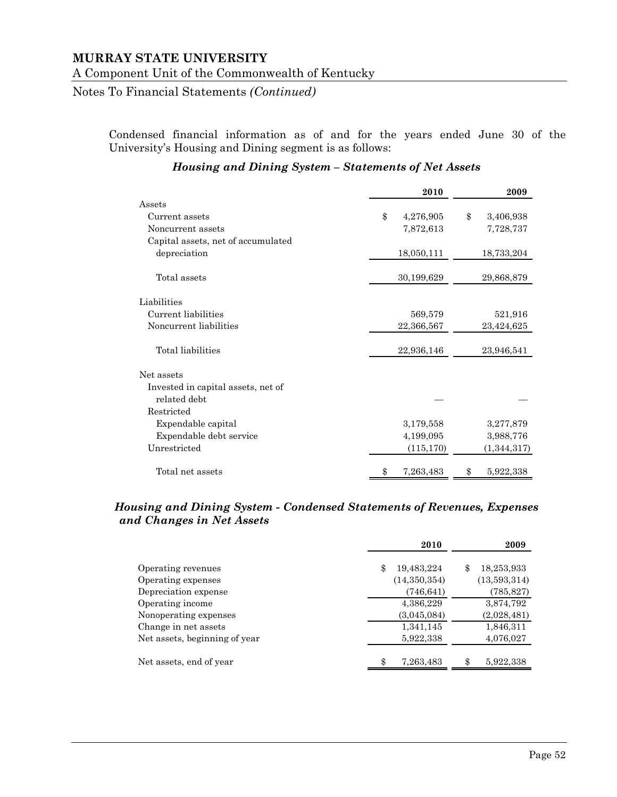Notes To Financial Statements *(Continued)*

Condensed financial information as of and for the years ended June 30 of the University's Housing and Dining segment is as follows:

|                                    | 2010            | 2009            |
|------------------------------------|-----------------|-----------------|
| Assets                             |                 |                 |
| Current assets                     | \$<br>4,276,905 | \$<br>3,406,938 |
| Noncurrent assets                  | 7,872,613       | 7,728,737       |
| Capital assets, net of accumulated |                 |                 |
| depreciation                       | 18,050,111      | 18,733,204      |
| Total assets                       | 30,199,629      | 29,868,879      |
| Liabilities                        |                 |                 |
| Current liabilities                | 569,579         | 521,916         |
| Noncurrent liabilities             | 22,366,567      | 23,424,625      |
| Total liabilities                  | 22,936,146      | 23,946,541      |
| Net assets                         |                 |                 |
| Invested in capital assets, net of |                 |                 |
| related debt                       |                 |                 |
| Restricted                         |                 |                 |
| Expendable capital                 | 3,179,558       | 3,277,879       |
| Expendable debt service            | 4,199,095       | 3,988,776       |
| Unrestricted                       | (115, 170)      | (1, 344, 317)   |
| Total net assets                   | \$<br>7,263,483 | 5,922,338<br>\$ |

#### *Housing and Dining System – Statements of Net Assets*

#### *Housing and Dining System - Condensed Statements of Revenues, Expenses and Changes in Net Assets*

|                               | 2010             | 2009             |
|-------------------------------|------------------|------------------|
| Operating revenues            | 19,483,224<br>\$ | 18,253,933<br>\$ |
| Operating expenses            | (14,350,354)     | (13,593,314)     |
| Depreciation expense          | (746, 641)       | (785, 827)       |
| Operating income              | 4,386,229        | 3,874,792        |
| Nonoperating expenses         | (3,045,084)      | (2,028,481)      |
| Change in net assets          | 1,341,145        | 1,846,311        |
| Net assets, beginning of year | 5,922,338        | 4,076,027        |
| Net assets, end of year       | \$<br>7,263,483  | \$<br>5,922,338  |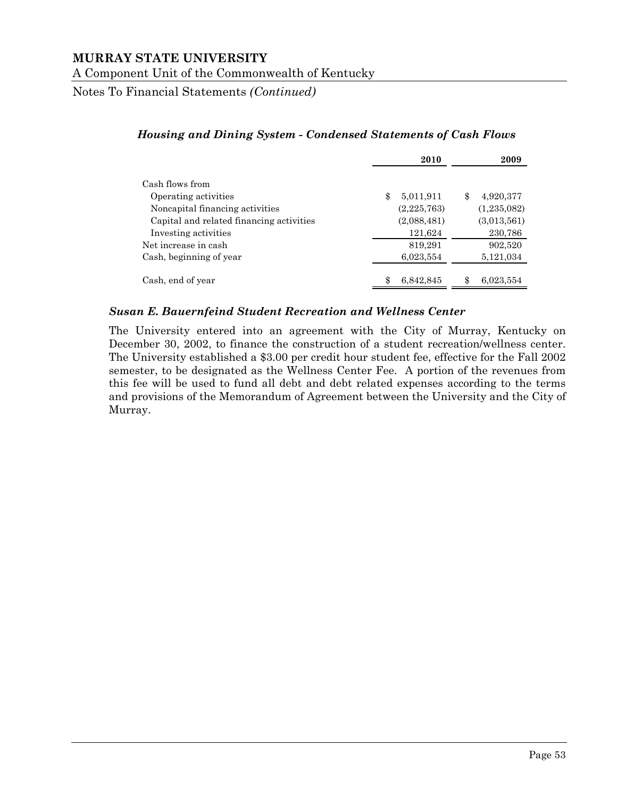Notes To Financial Statements *(Continued)*

|                                                                  | 2010                           | 2009                     |
|------------------------------------------------------------------|--------------------------------|--------------------------|
| Cash flows from                                                  |                                | \$                       |
| Operating activities<br>Noncapital financing activities          | \$<br>5,011,911<br>(2,225,763) | 4,920,377<br>(1,235,082) |
| Capital and related financing activities<br>Investing activities | (2,088,481)<br>121,624         | (3,013,561)<br>230,786   |
| Net increase in cash<br>Cash, beginning of year                  | 819,291<br>6,023,554           | 902,520<br>5,121,034     |
| Cash, end of year                                                | \$<br>6,842,845                | 6,023,554                |

#### *Housing and Dining System - Condensed Statements of Cash Flows*

#### *Susan E. Bauernfeind Student Recreation and Wellness Center*

The University entered into an agreement with the City of Murray, Kentucky on December 30, 2002, to finance the construction of a student recreation/wellness center. The University established a \$3.00 per credit hour student fee, effective for the Fall 2002 semester, to be designated as the Wellness Center Fee. A portion of the revenues from this fee will be used to fund all debt and debt related expenses according to the terms and provisions of the Memorandum of Agreement between the University and the City of Murray.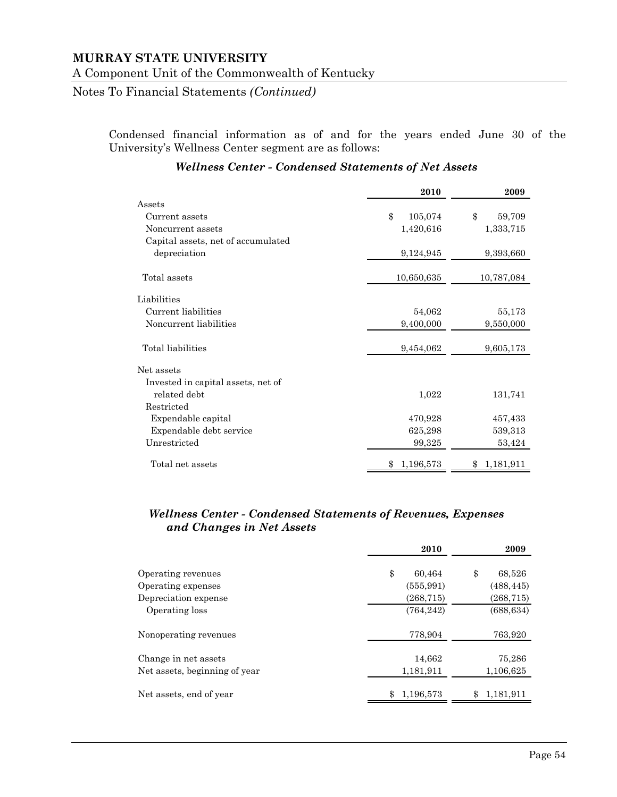Notes To Financial Statements *(Continued)*

Condensed financial information as of and for the years ended June 30 of the University's Wellness Center segment are as follows:

|                                    | 2010          | 2009            |
|------------------------------------|---------------|-----------------|
| Assets                             |               |                 |
| Current assets                     | \$<br>105,074 | \$<br>59,709    |
| Noncurrent assets                  | 1,420,616     | 1,333,715       |
| Capital assets, net of accumulated |               |                 |
| depreciation                       | 9,124,945     | 9,393,660       |
| Total assets                       | 10,650,635    | 10,787,084      |
| Liabilities                        |               |                 |
| Current liabilities                | 54,062        | 55,173          |
| Noncurrent liabilities             | 9,400,000     | 9,550,000       |
| Total liabilities                  | 9,454,062     | 9,605,173       |
| Net assets                         |               |                 |
| Invested in capital assets, net of |               |                 |
| related debt                       | 1,022         | 131,741         |
| Restricted                         |               |                 |
| Expendable capital                 | 470,928       | 457,433         |
| Expendable debt service            | 625,298       | 539,313         |
| Unrestricted                       | 99,325        | 53,424          |
| Total net assets                   | 1,196,573     | 1,181,911<br>S. |

#### *Wellness Center - Condensed Statements of Net Assets*

#### *Wellness Center - Condensed Statements of Revenues, Expenses and Changes in Net Assets*

|                               | 2010            | 2009         |
|-------------------------------|-----------------|--------------|
| Operating revenues            | \$<br>60,464    | \$<br>68,526 |
| Operating expenses            | (555, 991)      | (488, 445)   |
| Depreciation expense          | (268, 715)      | (268, 715)   |
| Operating loss                | (764, 242)      | (688, 634)   |
| Nonoperating revenues         | 778,904         | 763,920      |
| Change in net assets          | 14,662          | 75,286       |
| Net assets, beginning of year | 1,181,911       | 1,106,625    |
| Net assets, end of year       | 1,196,573<br>\$ | 1,181,911    |